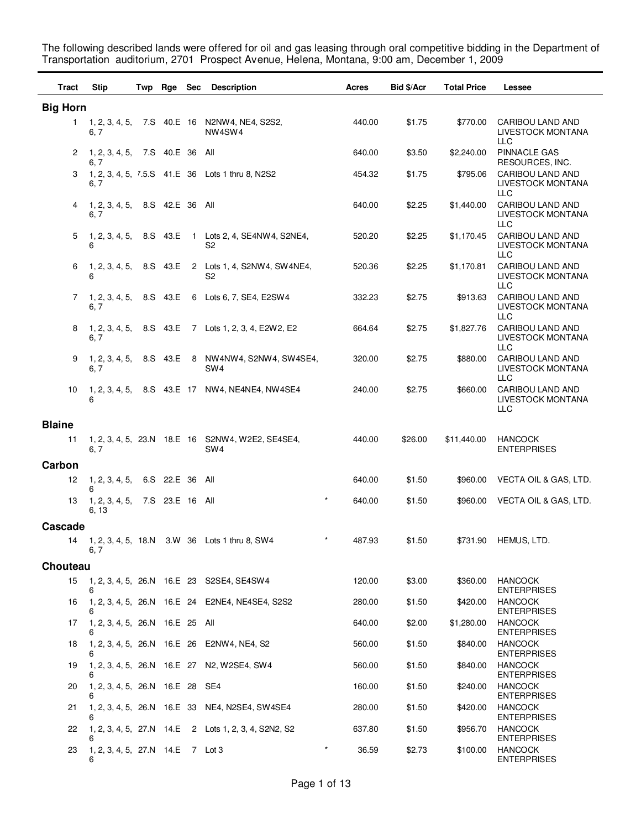The following described lands were offered for oil and gas leasing through oral competitive bidding in the Department of Transportation auditorium, 2701 Prospect Avenue, Helena, Montana, 9:00 am, December 1, 2009

| <b>Tract</b>    | <b>Stip</b>                             | Twp Rge Sec     | <b>Description</b>                                                              | Acres             | <b>Bid \$/Acr</b> | <b>Total Price</b> | Lessee                                              |
|-----------------|-----------------------------------------|-----------------|---------------------------------------------------------------------------------|-------------------|-------------------|--------------------|-----------------------------------------------------|
| <b>Big Horn</b> |                                         |                 |                                                                                 |                   |                   |                    |                                                     |
| 1.              | 6, 7                                    |                 | 1, 2, 3, 4, 5, 7.S 40.E 16 N2NW4, NE4, S2S2,<br>NW <sub>4</sub> SW <sub>4</sub> | 440.00            | \$1.75            | \$770.00           | CARIBOU LAND AND<br><b>LIVESTOCK MONTANA</b><br>LLC |
| 2               | 1, 2, 3, 4, 5, 7.S 40.E 36<br>6. 7      |                 | All                                                                             | 640.00            | \$3.50            | \$2,240.00         | <b>PINNACLE GAS</b><br>RESOURCES, INC.              |
| 3               | 6, 7                                    |                 | 1, 2, 3, 4, 5, 7.5.S 41.E 36 Lots 1 thru 8, N2S2                                | 454.32            | \$1.75            | \$795.06           | CARIBOU LAND AND<br>LIVESTOCK MONTANA<br>LLC        |
| 4               | 1, 2, 3, 4, 5,<br>6, 7                  | 8.S 42.E 36 All |                                                                                 | 640.00            | \$2.25            | \$1,440.00         | CARIBOU LAND AND<br>LIVESTOCK MONTANA<br>LLC        |
| 5               | 1, 2, 3, 4, 5,<br>6                     |                 | 8.S 43.E 1 Lots 2, 4, SE4NW4, S2NE4,<br>S2                                      | 520.20            | \$2.25            | \$1,170.45         | CARIBOU LAND AND<br>LIVESTOCK MONTANA<br>LLC        |
| 6               | 1, 2, 3, 4, 5, 8.S 43.E<br>6            |                 | 2 Lots 1, 4, S2NW4, SW4NE4,<br>S2                                               | 520.36            | \$2.25            | \$1,170.81         | CARIBOU LAND AND<br>LIVESTOCK MONTANA<br>LLC        |
| 7               | 1, 2, 3, 4, 5, 8.S 43.E<br>6, 7         |                 | 6 Lots 6, 7, SE4, E2SW4                                                         | 332.23            | \$2.75            | \$913.63           | CARIBOU LAND AND<br>LIVESTOCK MONTANA<br>LLC        |
| 8               | 6, 7                                    |                 | 1, 2, 3, 4, 5, 8.S 43.E 7 Lots 1, 2, 3, 4, E2W2, E2                             | 664.64            | \$2.75            | \$1,827.76         | CARIBOU LAND AND<br>LIVESTOCK MONTANA<br>LLC        |
| 9               | 1, 2, 3, 4, 5,<br>6,7                   |                 | 8.S 43.E 8 NW4NW4, S2NW4, SW4SE4,<br>SW <sub>4</sub>                            | 320.00            | \$2.75            | \$880.00           | CARIBOU LAND AND<br>LIVESTOCK MONTANA<br><b>LLC</b> |
| 10              | 6                                       |                 | 1, 2, 3, 4, 5, 8.S 43.E 17 NW4, NE4NE4, NW4SE4                                  | 240.00            | \$2.75            | \$660.00           | CARIBOU LAND AND<br>LIVESTOCK MONTANA<br>LLC        |
| <b>Blaine</b>   |                                         |                 |                                                                                 |                   |                   |                    |                                                     |
| 11              | 6, 7                                    |                 | 1, 2, 3, 4, 5, 23.N 18.E 16 S2NW4, W2E2, SE4SE4,<br>SW <sub>4</sub>             | 440.00            | \$26.00           | \$11,440.00        | <b>HANCOCK</b><br><b>ENTERPRISES</b>                |
| Carbon          |                                         |                 |                                                                                 |                   |                   |                    |                                                     |
| 12              | 1, 2, 3, 4, 5,<br>6                     | 6.S 22.E 36     | All                                                                             | 640.00            | \$1.50            | \$960.00           | VECTA OIL & GAS, LTD.                               |
| 13              | 1, 2, 3, 4, 5,<br>6, 13                 | 7.S 23.E 16 All |                                                                                 | $\star$<br>640.00 | \$1.50            | \$960.00           | VECTA OIL & GAS, LTD.                               |
| Cascade         |                                         |                 |                                                                                 |                   |                   |                    |                                                     |
| 14              | 6, 7                                    |                 | 1, 2, 3, 4, 5, 18.N 3.W 36 Lots 1 thru 8, SW4                                   | 487.93            | \$1.50            | \$731.90           | HEMUS, LTD.                                         |
| Chouteau        |                                         |                 |                                                                                 |                   |                   |                    |                                                     |
| 15              | 6                                       |                 | 1, 2, 3, 4, 5, 26. N 16. E 23 S2SE4, SE4SW4                                     | 120.00            | \$3.00            | \$360.00           | <b>HANCOCK</b><br><b>ENTERPRISES</b>                |
| 16              | 6                                       |                 | 1, 2, 3, 4, 5, 26. N 16. E 24 E2NE4, NE4SE4, S2S2                               | 280.00            | \$1.50            | \$420.00           | <b>HANCOCK</b><br><b>ENTERPRISES</b>                |
| 17              | 1, 2, 3, 4, 5, 26.N 16.E 25 All<br>6    |                 |                                                                                 | 640.00            | \$2.00            | \$1,280.00         | <b>HANCOCK</b><br><b>ENTERPRISES</b>                |
| 18              | 6                                       |                 | 1, 2, 3, 4, 5, 26.N 16.E 26 E2NW4, NE4, S2                                      | 560.00            | \$1.50            | \$840.00           | <b>HANCOCK</b><br><b>ENTERPRISES</b>                |
| 19              | 6                                       |                 | 1, 2, 3, 4, 5, 26.N 16.E 27 N2, W2SE4, SW4                                      | 560.00            | \$1.50            | \$840.00           | <b>HANCOCK</b><br><b>ENTERPRISES</b>                |
| 20              | 1, 2, 3, 4, 5, 26.N 16.E 28 SE4<br>6    |                 |                                                                                 | 160.00            | \$1.50            | \$240.00           | <b>HANCOCK</b><br><b>ENTERPRISES</b>                |
| 21              | 6                                       |                 | 1, 2, 3, 4, 5, 26. N 16. E 33 NE4, N2SE4, SW4SE4                                | 280.00            | \$1.50            | \$420.00           | <b>HANCOCK</b><br><b>ENTERPRISES</b>                |
| 22              | 6                                       |                 | 1, 2, 3, 4, 5, 27.N 14.E 2 Lots 1, 2, 3, 4, S2N2, S2                            | 637.80            | \$1.50            | \$956.70           | <b>HANCOCK</b><br><b>ENTERPRISES</b>                |
| 23              | 1, 2, 3, 4, 5, 27. N 14. E 7 Lot 3<br>6 |                 |                                                                                 | 36.59             | \$2.73            | \$100.00           | <b>HANCOCK</b><br><b>ENTERPRISES</b>                |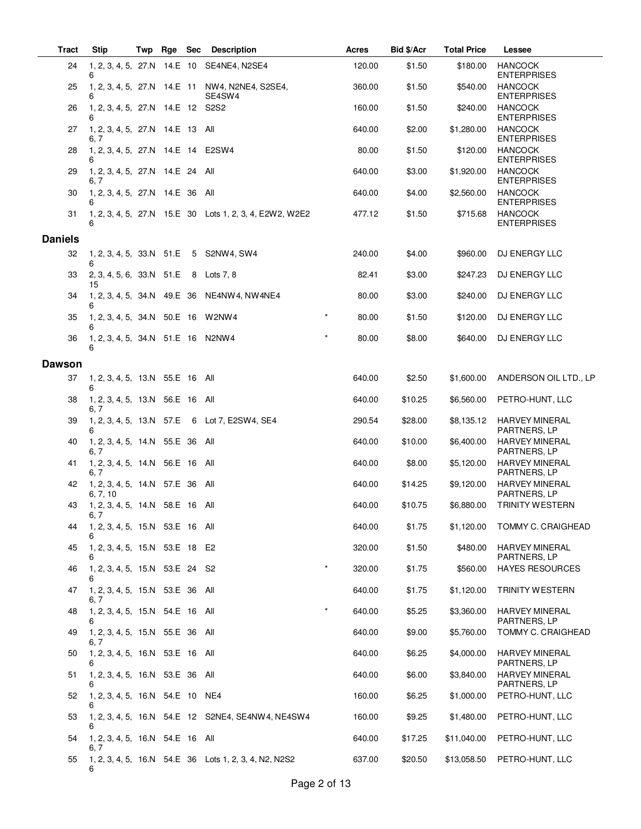| <b>Tract</b>   | <b>Stip</b>                                 | Twp | Rge Sec | <b>Description</b>                                       |         | <b>Acres</b> | Bid \$/Acr | <b>Total Price</b> | Lessee                                |
|----------------|---------------------------------------------|-----|---------|----------------------------------------------------------|---------|--------------|------------|--------------------|---------------------------------------|
| 24             | 6                                           |     |         | 1, 2, 3, 4, 5, 27.N 14.E 10 SE4NE4, N2SE4                |         | 120.00       | \$1.50     | \$180.00           | <b>HANCOCK</b><br><b>ENTERPRISES</b>  |
| 25             | 6                                           |     |         | 1, 2, 3, 4, 5, 27.N 14.E 11 NW4, N2NE4, S2SE4,<br>SE4SW4 |         | 360.00       | \$1.50     | \$540.00           | <b>HANCOCK</b><br><b>ENTERPRISES</b>  |
| 26             | 1, 2, 3, 4, 5, 27.N 14.E 12 S2S2<br>6       |     |         |                                                          |         | 160.00       | \$1.50     | \$240.00           | <b>HANCOCK</b><br><b>ENTERPRISES</b>  |
| 27             | 1, 2, 3, 4, 5, 27.N 14.E 13 All<br>6, 7     |     |         |                                                          |         | 640.00       | \$2.00     | \$1,280.00         | <b>HANCOCK</b><br><b>ENTERPRISES</b>  |
| 28             | 1, 2, 3, 4, 5, 27.N 14.E 14 E2SW4<br>6      |     |         |                                                          |         | 80.00        | \$1.50     | \$120.00           | <b>HANCOCK</b><br><b>ENTERPRISES</b>  |
| 29             | 1, 2, 3, 4, 5, 27.N 14.E 24 All<br>6, 7     |     |         |                                                          |         | 640.00       | \$3.00     | \$1,920.00         | <b>HANCOCK</b><br><b>ENTERPRISES</b>  |
| 30             | 1, 2, 3, 4, 5, 27.N 14.E 36 All             |     |         |                                                          |         | 640.00       | \$4.00     | \$2,560.00         | <b>HANCOCK</b><br><b>ENTERPRISES</b>  |
| 31             | 6                                           |     |         | 1, 2, 3, 4, 5, 27.N 15.E 30 Lots 1, 2, 3, 4, E2W2, W2E2  |         | 477.12       | \$1.50     | \$715.68           | <b>HANCOCK</b><br><b>ENTERPRISES</b>  |
| <b>Daniels</b> |                                             |     |         |                                                          |         |              |            |                    |                                       |
| 32             | 6                                           |     |         | 1, 2, 3, 4, 5, 33.N 51.E 5 S2NW4, SW4                    |         | 240.00       | \$4.00     | \$960.00           | DJ ENERGY LLC                         |
| 33             | 2, 3, 4, 5, 6, 33.N 51.E<br>15              |     |         | 8 Lots 7, 8                                              |         | 82.41        | \$3.00     | \$247.23           | DJ ENERGY LLC                         |
| 34             | 6                                           |     |         | 1, 2, 3, 4, 5, 34.N 49.E 36 NE4NW4, NW4NE4               |         | 80.00        | \$3.00     | \$240.00           | DJ ENERGY LLC                         |
| 35             | 1, 2, 3, 4, 5, 34.N 50.E 16 W2NW4<br>6      |     |         |                                                          | $\star$ | 80.00        | \$1.50     | \$120.00           | DJ ENERGY LLC                         |
| 36             | 1, 2, 3, 4, 5, 34.N 51.E 16 N2NW4<br>6      |     |         |                                                          | $\star$ | 80.00        | \$8.00     | \$640.00           | DJ ENERGY LLC                         |
| <b>Dawson</b>  |                                             |     |         |                                                          |         |              |            |                    |                                       |
| 37             | 1, 2, 3, 4, 5, 13.N 55.E 16 All<br>6        |     |         |                                                          |         | 640.00       | \$2.50     | \$1,600.00         | ANDERSON OIL LTD., LP                 |
| 38             | 1, 2, 3, 4, 5, 13.N 56.E 16 All<br>6, 7     |     |         |                                                          |         | 640.00       | \$10.25    | \$6,560.00         | PETRO-HUNT, LLC                       |
| 39             | 6                                           |     |         | 1, 2, 3, 4, 5, 13.N 57.E 6 Lot 7, E2SW4, SE4             |         | 290.54       | \$28.00    | \$8,135.12         | <b>HARVEY MINERAL</b><br>PARTNERS, LP |
| 40             | 1, 2, 3, 4, 5, 14.N 55.E 36 All<br>6, 7     |     |         |                                                          |         | 640.00       | \$10.00    | \$6,400.00         | <b>HARVEY MINERAL</b><br>PARTNERS, LP |
| 41             | 1, 2, 3, 4, 5, 14.N 56.E 16 All<br>6, 7     |     |         |                                                          |         | 640.00       | \$8.00     | \$5,120.00         | <b>HARVEY MINERAL</b><br>PARTNERS, LP |
| 42             | 1, 2, 3, 4, 5, 14.N 57.E 36 All<br>6, 7, 10 |     |         |                                                          |         | 640.00       | \$14.25    | \$9,120.00         | <b>HARVEY MINERAL</b><br>PARTNERS, LP |
| 43             | 1, 2, 3, 4, 5, 14.N 58.E 16 All<br>6, /     |     |         |                                                          |         | 640.00       | \$10.75    | \$6,880.00         | <b>TRINITY WESTERN</b>                |
| 44             | 1, 2, 3, 4, 5, 15.N 53.E 16 All             |     |         |                                                          |         | 640.00       | \$1.75     | \$1,120.00         | TOMMY C. CRAIGHEAD                    |
| 45             | 1, 2, 3, 4, 5, 15.N 53.E 18 E2<br>6         |     |         |                                                          |         | 320.00       | \$1.50     | \$480.00           | <b>HARVEY MINERAL</b><br>PARTNERS, LP |
| 46             | 1, 2, 3, 4, 5, 15.N 53.E 24 S2<br>6         |     |         |                                                          | $\star$ | 320.00       | \$1.75     | \$560.00           | <b>HAYES RESOURCES</b>                |
| 47             | 1, 2, 3, 4, 5, 15.N 53.E 36 All<br>6, 7     |     |         |                                                          |         | 640.00       | \$1.75     | \$1,120.00         | TRINITY WESTERN                       |
| 48             | 1, 2, 3, 4, 5, 15.N 54.E 16 All<br>6        |     |         |                                                          |         | 640.00       | \$5.25     | \$3,360.00         | <b>HARVEY MINERAL</b><br>PARTNERS, LP |
| 49             | 1, 2, 3, 4, 5, 15.N 55.E 36 All<br>6, 7     |     |         |                                                          |         | 640.00       | \$9.00     | \$5,760.00         | TOMMY C. CRAIGHEAD                    |
| 50             | 1, 2, 3, 4, 5, 16.N 53.E 16 All<br>6        |     |         |                                                          |         | 640.00       | \$6.25     | \$4,000.00         | <b>HARVEY MINERAL</b><br>PARTNERS, LP |
| 51             | 1, 2, 3, 4, 5, 16.N 53.E 36 All<br>6        |     |         |                                                          |         | 640.00       | \$6.00     | \$3,840.00         | <b>HARVEY MINERAL</b><br>PARTNERS, LP |
| 52             | 1, 2, 3, 4, 5, 16.N 54.E 10 NE4<br>6        |     |         |                                                          |         | 160.00       | \$6.25     | \$1,000.00         | PETRO-HUNT, LLC                       |
| 53             | 6                                           |     |         | 1, 2, 3, 4, 5, 16.N 54.E 12 S2NE4, SE4NW4, NE4SW4        |         | 160.00       | \$9.25     | \$1,480.00         | PETRO-HUNT, LLC                       |
| 54             | 1, 2, 3, 4, 5, 16.N 54.E 16 All<br>6.7      |     |         |                                                          |         | 640.00       | \$17.25    | \$11,040.00        | PETRO-HUNT, LLC                       |
| 55             | 6                                           |     |         | 1, 2, 3, 4, 5, 16.N 54.E 36 Lots 1, 2, 3, 4, N2, N2S2    |         | 637.00       | \$20.50    | \$13,058.50        | PETRO-HUNT, LLC                       |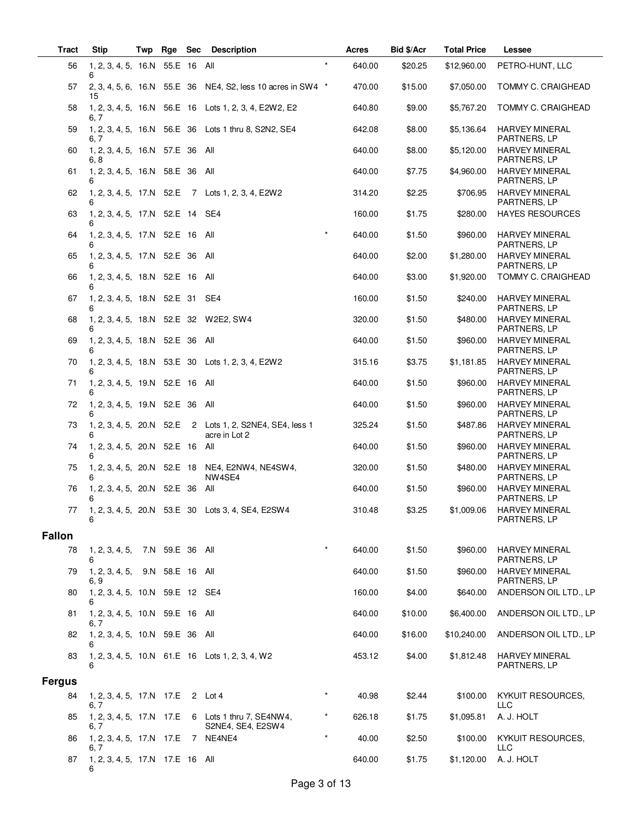| <b>Tract</b>  | <b>Stip</b>                             | Twp | Rge             | <b>Sec</b> | <b>Description</b>                                          |         | Acres  | Bid \$/Acr | <b>Total Price</b> | Lessee                                |
|---------------|-----------------------------------------|-----|-----------------|------------|-------------------------------------------------------------|---------|--------|------------|--------------------|---------------------------------------|
| 56            | 1, 2, 3, 4, 5, 16.N<br>6                |     | 55.E 16 All     |            |                                                             | $\star$ | 640.00 | \$20.25    | \$12,960.00        | PETRO-HUNT, LLC                       |
| 57            | 15                                      |     |                 |            | 2, 3, 4, 5, 6, 16.N 55.E 36 NE4, S2, less 10 acres in SW4 * |         | 470.00 | \$15.00    | \$7,050.00         | TOMMY C. CRAIGHEAD                    |
| 58            | 6. 7                                    |     |                 |            | 1, 2, 3, 4, 5, 16.N 56.E 16 Lots 1, 2, 3, 4, E2W2, E2       |         | 640.80 | \$9.00     | \$5,767.20         | TOMMY C. CRAIGHEAD                    |
| 59            | 6. 7                                    |     |                 |            | 1, 2, 3, 4, 5, 16.N 56.E 36 Lots 1 thru 8, S2N2, SE4        |         | 642.08 | \$8.00     | \$5,136.64         | <b>HARVEY MINERAL</b><br>PARTNERS, LP |
| 60            | 1, 2, 3, 4, 5, 16.N 57.E 36<br>6, 8     |     |                 |            | All                                                         |         | 640.00 | \$8.00     | \$5,120.00         | <b>HARVEY MINERAL</b><br>PARTNERS, LP |
| 61            | 1, 2, 3, 4, 5, 16.N 58.E 36<br>6        |     |                 |            | All                                                         |         | 640.00 | \$7.75     | \$4,960.00         | <b>HARVEY MINERAL</b><br>PARTNERS, LP |
| 62            |                                         |     |                 |            | 1, 2, 3, 4, 5, 17.N 52.E 7 Lots 1, 2, 3, 4, E2W2            |         | 314.20 | \$2.25     | \$706.95           | <b>HARVEY MINERAL</b><br>PARTNERS, LP |
| 63            | 1, 2, 3, 4, 5, 17.N 52.E 14 SE4<br>6    |     |                 |            |                                                             |         | 160.00 | \$1.75     | \$280.00           | <b>HAYES RESOURCES</b>                |
| 64            | 1, 2, 3, 4, 5, 17.N 52.E 16 All<br>6    |     |                 |            |                                                             |         | 640.00 | \$1.50     | \$960.00           | <b>HARVEY MINERAL</b><br>PARTNERS, LP |
| 65            | 1, 2, 3, 4, 5, 17.N 52.E 36<br>6        |     |                 |            | All                                                         |         | 640.00 | \$2.00     | \$1,280.00         | <b>HARVEY MINERAL</b><br>PARTNERS, LP |
| 66            | 1, 2, 3, 4, 5, 18.N 52.E 16 All<br>6    |     |                 |            |                                                             |         | 640.00 | \$3.00     | \$1,920.00         | TOMMY C. CRAIGHEAD                    |
| 67            | 1, 2, 3, 4, 5, 18.N 52.E 31<br>6        |     |                 |            | SE4                                                         |         | 160.00 | \$1.50     | \$240.00           | <b>HARVEY MINERAL</b><br>PARTNERS, LP |
| 68            |                                         |     |                 |            | 1, 2, 3, 4, 5, 18.N 52.E 32 W2E2, SW4                       |         | 320.00 | \$1.50     | \$480.00           | <b>HARVEY MINERAL</b><br>PARTNERS, LP |
| 69            | 1, 2, 3, 4, 5, 18.N 52.E 36 All         |     |                 |            |                                                             |         | 640.00 | \$1.50     | \$960.00           | <b>HARVEY MINERAL</b><br>PARTNERS, LP |
| 70            | 6                                       |     |                 |            | 1, 2, 3, 4, 5, 18.N 53.E 30 Lots 1, 2, 3, 4, E2W2           |         | 315.16 | \$3.75     | \$1,181.85         | <b>HARVEY MINERAL</b><br>PARTNERS, LP |
| 71            | 1, 2, 3, 4, 5, 19.N 52.E 16             |     |                 |            | All                                                         |         | 640.00 | \$1.50     | \$960.00           | <b>HARVEY MINERAL</b><br>PARTNERS, LP |
| 72            | 1, 2, 3, 4, 5, 19.N 52.E 36             |     |                 |            | All                                                         |         | 640.00 | \$1.50     | \$960.00           | <b>HARVEY MINERAL</b><br>PARTNERS, LP |
| 73            | 1, 2, 3, 4, 5, 20.N 52.E<br>6           |     |                 |            | 2 Lots 1, 2, S2NE4, SE4, less 1<br>acre in Lot 2            |         | 325.24 | \$1.50     | \$487.86           | <b>HARVEY MINERAL</b><br>PARTNERS, LP |
| 74            | 1, 2, 3, 4, 5, 20.N 52.E 16<br>6        |     |                 |            | All                                                         |         | 640.00 | \$1.50     | \$960.00           | <b>HARVEY MINERAL</b><br>PARTNERS, LP |
| 75            | 1, 2, 3, 4, 5, 20.N 52.E 18             |     |                 |            | NE4, E2NW4, NE4SW4,<br>NW4SE4                               |         | 320.00 | \$1.50     | \$480.00           | <b>HARVEY MINERAL</b><br>PARTNERS, LP |
| 76            | 1, 2, 3, 4, 5, 20.N 52.E 36<br>6        |     |                 |            | All                                                         |         | 640.00 | \$1.50     | \$960.00           | <b>HARVEY MINERAL</b><br>PARTNERS, LP |
| 77            | 6                                       |     |                 |            | 1, 2, 3, 4, 5, 20.N 53.E 30 Lots 3, 4, SE4, E2SW4           |         | 310.48 | \$3.25     | \$1,009.06         | <b>HARVEY MINERAL</b><br>PARTNERS, LP |
| <b>Fallon</b> |                                         |     |                 |            |                                                             |         |        |            |                    |                                       |
| 78            | 1, 2, 3, 4, 5,<br>6                     |     | 7.N 59.E 36 All |            |                                                             | $\star$ | 640.00 | \$1.50     | \$960.00           | <b>HARVEY MINERAL</b><br>PARTNERS, LP |
| 79            | 1, 2, 3, 4, 5, 9.N 58.E 16 All<br>6, 9  |     |                 |            |                                                             |         | 640.00 | \$1.50     | \$960.00           | <b>HARVEY MINERAL</b><br>PARTNERS, LP |
| 80            | 1, 2, 3, 4, 5, 10.N 59.E 12 SE4<br>6    |     |                 |            |                                                             |         | 160.00 | \$4.00     | \$640.00           | ANDERSON OIL LTD., LP                 |
| 81            | 1, 2, 3, 4, 5, 10.N 59.E 16 All<br>6, 7 |     |                 |            |                                                             |         | 640.00 | \$10.00    | \$6,400.00         | ANDERSON OIL LTD., LP                 |
| 82            | 1, 2, 3, 4, 5, 10.N 59.E 36 All<br>6    |     |                 |            |                                                             |         | 640.00 | \$16.00    | \$10,240.00        | ANDERSON OIL LTD., LP                 |
| 83            | 6                                       |     |                 |            | 1, 2, 3, 4, 5, 10. N 61. E 16 Lots 1, 2, 3, 4, W2           |         | 453.12 | \$4.00     | \$1,812.48         | <b>HARVEY MINERAL</b><br>PARTNERS, LP |
| <b>Fergus</b> |                                         |     |                 |            |                                                             |         |        |            |                    |                                       |
| 84            | 1, 2, 3, 4, 5, 17.N 17.E<br>6, 7        |     |                 |            | 2 Lot 4                                                     | $\star$ | 40.98  | \$2.44     | \$100.00           | KYKUIT RESOURCES,<br>LLC              |
| 85            | 1, 2, 3, 4, 5, 17.N 17.E<br>6, 7        |     |                 |            | 6 Lots 1 thru 7, SE4NW4,<br>S2NE4, SE4, E2SW4               |         | 626.18 | \$1.75     | \$1,095.81         | A. J. HOLT                            |
| 86            | 1, 2, 3, 4, 5, 17.N 17.E<br>6. 7        |     |                 |            | 7 NE4NE4                                                    | $\star$ | 40.00  | \$2.50     | \$100.00           | KYKUIT RESOURCES,<br>LLC              |
| 87            | 1, 2, 3, 4, 5, 17.N 17.E 16 All<br>6    |     |                 |            |                                                             |         | 640.00 | \$1.75     | \$1,120.00         | A. J. HOLT                            |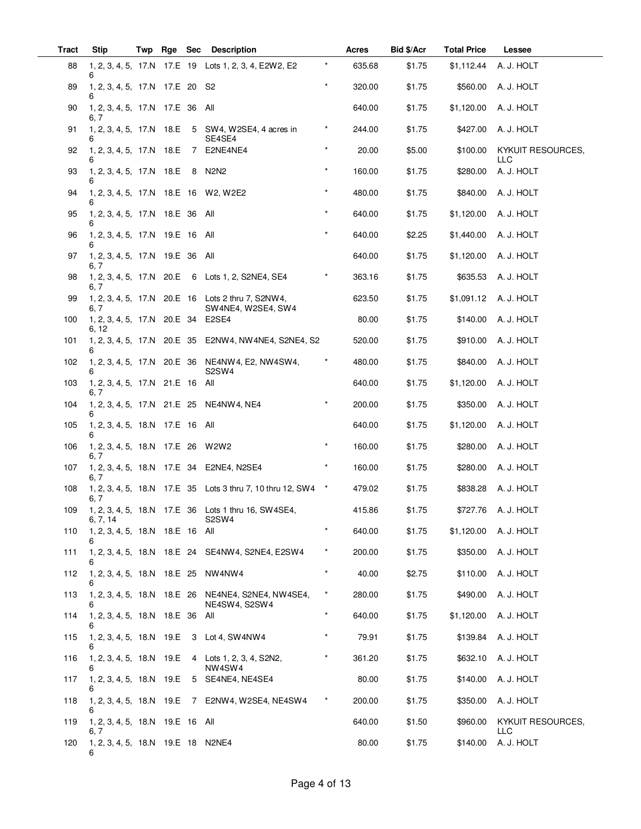| <b>Tract</b> | <b>Stip</b>                              | Twp | Rge | <b>Sec</b> | <b>Description</b>                                                                |          | Acres  | Bid \$/Acr | <b>Total Price</b> | Lessee                          |
|--------------|------------------------------------------|-----|-----|------------|-----------------------------------------------------------------------------------|----------|--------|------------|--------------------|---------------------------------|
| 88           | 6                                        |     |     |            | 1, 2, 3, 4, 5, 17.N 17.E 19 Lots 1, 2, 3, 4, E2W2, E2                             |          | 635.68 | \$1.75     | \$1,112.44         | A. J. HOLT                      |
| 89           | 1, 2, 3, 4, 5, 17.N 17.E 20 S2<br>6      |     |     |            |                                                                                   | $\star$  | 320.00 | \$1.75     | \$560.00           | A. J. HOLT                      |
| 90           | 1, 2, 3, 4, 5, 17.N 17.E 36 All<br>6, 7  |     |     |            |                                                                                   |          | 640.00 | \$1.75     | \$1,120.00         | A. J. HOLT                      |
| 91           |                                          |     |     |            | 1, 2, 3, 4, 5, 17.N 18.E 5 SW4, W2SE4, 4 acres in<br>SE4SE4                       | $^\star$ | 244.00 | \$1.75     | \$427.00           | A. J. HOLT                      |
| 92           | 6                                        |     |     |            | 1, 2, 3, 4, 5, 17.N 18.E 7 E2NE4NE4                                               | $\star$  | 20.00  | \$5.00     | \$100.00           | KYKUIT RESOURCES,<br><b>LLC</b> |
| 93           | 1, 2, 3, 4, 5, 17.N 18.E<br>6            |     |     |            | 8 N2N2                                                                            |          | 160.00 | \$1.75     | \$280.00           | A. J. HOLT                      |
| 94           |                                          |     |     |            | 1, 2, 3, 4, 5, 17.N 18.E 16 W2, W2E2                                              | $\star$  | 480.00 | \$1.75     | \$840.00           | A. J. HOLT                      |
| 95           | 1, 2, 3, 4, 5, 17.N 18.E 36 All<br>6     |     |     |            |                                                                                   | $\star$  | 640.00 | \$1.75     | \$1,120.00         | A. J. HOLT                      |
| 96           | 1, 2, 3, 4, 5, 17.N 19.E 16 All<br>6     |     |     |            |                                                                                   |          | 640.00 | \$2.25     | \$1,440.00         | A. J. HOLT                      |
| 97           | 1, 2, 3, 4, 5, 17.N 19.E 36 All<br>6. 7  |     |     |            |                                                                                   |          | 640.00 | \$1.75     | \$1,120.00         | A. J. HOLT                      |
| 98           | 6, 7                                     |     |     |            | 1, 2, 3, 4, 5, 17.N 20.E 6 Lots 1, 2, S2NE4, SE4                                  | $^\star$ | 363.16 | \$1.75     | \$635.53           | A. J. HOLT                      |
| 99           | 6, 7                                     |     |     |            | 1, 2, 3, 4, 5, 17.N 20.E 16 Lots 2 thru 7, S2NW4,<br>SW4NE4, W2SE4, SW4           |          | 623.50 | \$1.75     | \$1,091.12         | A. J. HOLT                      |
| 100          | 1, 2, 3, 4, 5, 17.N 20.E 34<br>6, 12     |     |     |            | E2SE4                                                                             |          | 80.00  | \$1.75     | \$140.00           | A. J. HOLT                      |
| 101          |                                          |     |     |            | 1, 2, 3, 4, 5, 17.N 20.E 35 E2NW4, NW4NE4, S2NE4, S2                              |          | 520.00 | \$1.75     | \$910.00           | A. J. HOLT                      |
| 102          | 6                                        |     |     |            | 1, 2, 3, 4, 5, 17.N 20.E 36 NE4NW4, E2, NW4SW4,<br>S <sub>2</sub> SW <sub>4</sub> | $\star$  | 480.00 | \$1.75     | \$840.00           | A. J. HOLT                      |
| 103          | 1, 2, 3, 4, 5, 17.N 21.E 16 All<br>6.7   |     |     |            |                                                                                   |          | 640.00 | \$1.75     | \$1,120.00         | A. J. HOLT                      |
| 104          |                                          |     |     |            | 1, 2, 3, 4, 5, 17.N 21.E 25 NE4NW4, NE4                                           |          | 200.00 | \$1.75     | \$350.00           | A. J. HOLT                      |
| 105          | 1, 2, 3, 4, 5, 18.N 17.E 16 All<br>6     |     |     |            |                                                                                   |          | 640.00 | \$1.75     | \$1,120.00         | A. J. HOLT                      |
| 106          | 1, 2, 3, 4, 5, 18.N 17.E 26 W2W2<br>6, 7 |     |     |            |                                                                                   |          | 160.00 | \$1.75     | \$280.00           | A. J. HOLT                      |
| 107          | 6. 7                                     |     |     |            | 1, 2, 3, 4, 5, 18.N 17.E 34 E2NE4, N2SE4                                          | $^\star$ | 160.00 | \$1.75     | \$280.00           | A. J. HOLT                      |
| 108          | 6, 7                                     |     |     |            | 1, 2, 3, 4, 5, 18.N 17.E 35 Lots 3 thru 7, 10 thru 12, SW4 *                      |          | 479.02 | \$1.75     | \$838.28           | A. J. HOLT                      |
| 109          | 6, 7, 14                                 |     |     |            | 1, 2, 3, 4, 5, 18.N 17.E 36 Lots 1 thru 16, SW4SE4,<br>S2SW4                      |          | 415.86 | \$1.75     |                    | \$727.76 A. J. HOLT             |
| 110          | 1, 2, 3, 4, 5, 18.N 18.E 16 All<br>6     |     |     |            |                                                                                   | $\star$  | 640.00 | \$1.75     |                    | \$1,120.00 A. J. HOLT           |
| 111          |                                          |     |     |            | 1, 2, 3, 4, 5, 18.N 18.E 24 SE4NW4, S2NE4, E2SW4                                  | $^\star$ | 200.00 | \$1.75     | \$350.00           | A. J. HOLT                      |
| 112          | 1, 2, 3, 4, 5, 18.N 18.E 25 NW4NW4<br>6  |     |     |            |                                                                                   | $\star$  | 40.00  | \$2.75     | \$110.00           | A. J. HOLT                      |
| 113          | 6                                        |     |     |            | 1, 2, 3, 4, 5, 18.N 18.E 26 NE4NE4, S2NE4, NW4SE4,<br>NE4SW4, S2SW4               | $^\star$ | 280.00 | \$1.75     | \$490.00           | A. J. HOLT                      |
| 114          | 1, 2, 3, 4, 5, 18.N 18.E 36 All<br>6     |     |     |            |                                                                                   | $\star$  | 640.00 | \$1.75     | \$1,120.00         | A. J. HOLT                      |
| 115          |                                          |     |     |            | 1, 2, 3, 4, 5, 18.N 19.E 3 Lot 4, SW4NW4                                          |          | 79.91  | \$1.75     |                    | \$139.84 A. J. HOLT             |
| 116          | 6                                        |     |     |            | 1, 2, 3, 4, 5, 18.N 19.E 4 Lots 1, 2, 3, 4, S2N2,<br>NW4SW4                       | $\star$  | 361.20 | \$1.75     |                    | \$632.10 A. J. HOLT             |
| 117          | 6                                        |     |     |            | 1, 2, 3, 4, 5, 18.N 19.E 5 SE4NE4, NE4SE4                                         |          | 80.00  | \$1.75     | \$140.00           | A. J. HOLT                      |
| 118          |                                          |     |     |            | 1, 2, 3, 4, 5, 18.N 19.E 7 E2NW4, W2SE4, NE4SW4                                   | $\star$  | 200.00 | \$1.75     | \$350.00           | A. J. HOLT                      |
| 119          | 1, 2, 3, 4, 5, 18.N 19.E 16 All<br>6, 7  |     |     |            |                                                                                   |          | 640.00 | \$1.50     | \$960.00           | KYKUIT RESOURCES,<br><b>LLC</b> |
| 120          | 1, 2, 3, 4, 5, 18.N 19.E 18 N2NE4<br>6   |     |     |            |                                                                                   |          | 80.00  | \$1.75     | \$140.00           | A. J. HOLT                      |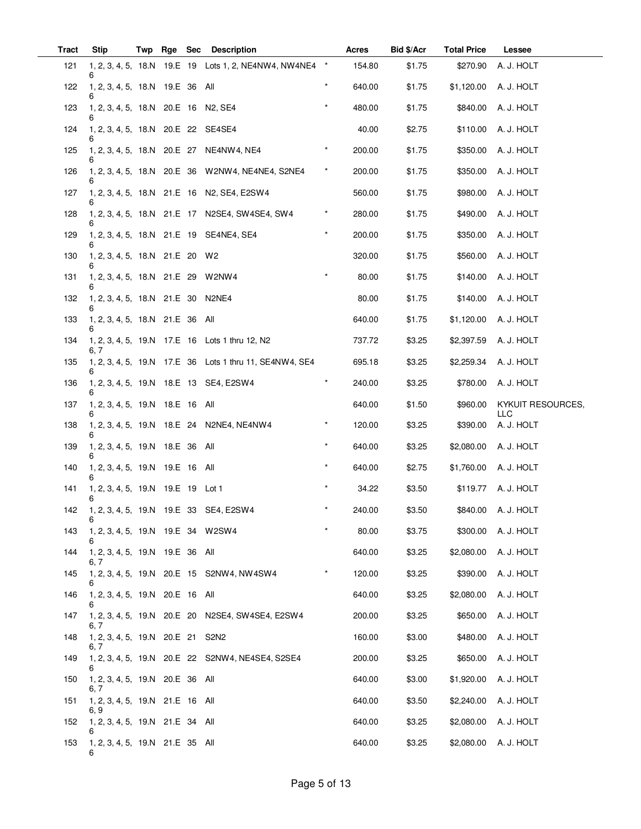| <b>Tract</b> | <b>Stip</b>                             | Twp | Rge Sec | <b>Description</b>                                      |          | Acres  | Bid \$/Acr | <b>Total Price</b> | Lessee                   |
|--------------|-----------------------------------------|-----|---------|---------------------------------------------------------|----------|--------|------------|--------------------|--------------------------|
| 121          |                                         |     |         | 1, 2, 3, 4, 5, 18.N 19.E 19 Lots 1, 2, NE4NW4, NW4NE4 * |          | 154.80 | \$1.75     | \$270.90           | A. J. HOLT               |
| 122          | 1, 2, 3, 4, 5, 18.N 19.E 36<br>6        |     |         | All                                                     | $\star$  | 640.00 | \$1.75     | \$1,120.00         | A. J. HOLT               |
| 123          | 1, 2, 3, 4, 5, 18.N 20.E 16 N2, SE4     |     |         |                                                         |          | 480.00 | \$1.75     | \$840.00           | A. J. HOLT               |
| 124          | 1, 2, 3, 4, 5, 18.N 20.E 22 SE4SE4      |     |         |                                                         |          | 40.00  | \$2.75     | \$110.00           | A. J. HOLT               |
| 125          | 6                                       |     |         | 1, 2, 3, 4, 5, 18.N 20.E 27 NE4NW4, NE4                 | $\star$  | 200.00 | \$1.75     | \$350.00           | A. J. HOLT               |
| 126          |                                         |     |         | 1, 2, 3, 4, 5, 18.N 20.E 36 W2NW4, NE4NE4, S2NE4        | $^\star$ | 200.00 | \$1.75     | \$350.00           | A. J. HOLT               |
| 127          |                                         |     |         | 1, 2, 3, 4, 5, 18.N 21.E 16 N2, SE4, E2SW4              |          | 560.00 | \$1.75     | \$980.00           | A. J. HOLT               |
| 128          |                                         |     |         | 1, 2, 3, 4, 5, 18.N 21.E 17 N2SE4, SW4SE4, SW4          | $^\star$ | 280.00 | \$1.75     | \$490.00           | A. J. HOLT               |
| 129          | 6                                       |     |         | 1, 2, 3, 4, 5, 18.N 21.E 19 SE4NE4, SE4                 |          | 200.00 | \$1.75     | \$350.00           | A. J. HOLT               |
| 130          | 1, 2, 3, 4, 5, 18.N 21.E 20 W2          |     |         |                                                         |          | 320.00 | \$1.75     | \$560.00           | A. J. HOLT               |
| 131          | 1, 2, 3, 4, 5, 18.N 21.E 29 W2NW4       |     |         |                                                         | $\star$  | 80.00  | \$1.75     | \$140.00           | A. J. HOLT               |
| 132          | 1, 2, 3, 4, 5, 18.N 21.E 30<br>6        |     |         | N2NE4                                                   |          | 80.00  | \$1.75     | \$140.00           | A. J. HOLT               |
| 133          | 1, 2, 3, 4, 5, 18.N 21.E 36 All         |     |         |                                                         |          | 640.00 | \$1.75     | \$1,120.00         | A. J. HOLT               |
| 134          | 6. 7                                    |     |         | 1, 2, 3, 4, 5, 19.N 17.E 16 Lots 1 thru 12, N2          |          | 737.72 | \$3.25     | \$2,397.59         | A. J. HOLT               |
| 135          | 6                                       |     |         | 1, 2, 3, 4, 5, 19.N 17.E 36 Lots 1 thru 11, SE4NW4, SE4 |          | 695.18 | \$3.25     | \$2,259.34         | A. J. HOLT               |
| 136          |                                         |     |         | 1, 2, 3, 4, 5, 19.N 18.E 13 SE4, E2SW4                  |          | 240.00 | \$3.25     | \$780.00           | A. J. HOLT               |
| 137          | 1, 2, 3, 4, 5, 19.N 18.E 16 All         |     |         |                                                         |          | 640.00 | \$1.50     | \$960.00           | KYKUIT RESOURCES,<br>LLC |
| 138          | 6                                       |     |         | 1, 2, 3, 4, 5, 19.N 18.E 24 N2NE4, NE4NW4               | $^\star$ | 120.00 | \$3.25     | \$390.00           | A. J. HOLT               |
| 139          | 1, 2, 3, 4, 5, 19.N 18.E 36 All<br>6    |     |         |                                                         | $\star$  | 640.00 | \$3.25     | \$2,080.00         | A. J. HOLT               |
| 140          | 1, 2, 3, 4, 5, 19.N 19.E 16 All         |     |         |                                                         | $\star$  | 640.00 | \$2.75     | \$1,760.00         | A. J. HOLT               |
| 141          | 1, 2, 3, 4, 5, 19.N 19.E 19 Lot 1       |     |         |                                                         | $\star$  | 34.22  | \$3.50     |                    | \$119.77 A. J. HOLT      |
| 142          | 6                                       |     |         | 1, 2, 3, 4, 5, 19.N 19.E 33 SE4, E2SW4                  | $\star$  | 240.00 | \$3.50     |                    | \$840.00 A. J. HOLT      |
| 143          | 1, 2, 3, 4, 5, 19.N 19.E 34 W2SW4<br>6  |     |         |                                                         | $\ast$   | 80.00  | \$3.75     |                    | \$300.00 A. J. HOLT      |
| 144          | 1, 2, 3, 4, 5, 19.N 19.E 36 All<br>6. 7 |     |         |                                                         |          | 640.00 | \$3.25     | \$2,080.00         | A. J. HOLT               |
| 145          | 6                                       |     |         | 1, 2, 3, 4, 5, 19.N 20.E 15 S2NW4, NW4SW4               |          | 120.00 | \$3.25     | \$390.00           | A. J. HOLT               |
| 146          | 1, 2, 3, 4, 5, 19.N 20.E 16 All<br>6    |     |         |                                                         |          | 640.00 | \$3.25     | \$2,080.00         | A. J. HOLT               |
| 147          | 6. 7                                    |     |         | 1, 2, 3, 4, 5, 19.N 20.E 20 N2SE4, SW4SE4, E2SW4        |          | 200.00 | \$3.25     | \$650.00           | A. J. HOLT               |
| 148          | 1, 2, 3, 4, 5, 19.N 20.E 21<br>6. 7     |     |         | S <sub>2</sub> N <sub>2</sub>                           |          | 160.00 | \$3.00     | \$480.00           | A. J. HOLT               |
| 149          | 6                                       |     |         | 1, 2, 3, 4, 5, 19.N 20.E 22 S2NW4, NE4SE4, S2SE4        |          | 200.00 | \$3.25     | \$650.00           | A. J. HOLT               |
| 150          | 1, 2, 3, 4, 5, 19.N 20.E 36 All<br>6, 7 |     |         |                                                         |          | 640.00 | \$3.00     | \$1,920.00         | A. J. HOLT               |
| 151          | 1, 2, 3, 4, 5, 19.N 21.E 16 All<br>6. 9 |     |         |                                                         |          | 640.00 | \$3.50     | \$2,240.00         | A. J. HOLT               |
| 152          | 1, 2, 3, 4, 5, 19.N 21.E 34 All<br>6    |     |         |                                                         |          | 640.00 | \$3.25     | \$2,080.00         | A. J. HOLT               |
| 153          | 1, 2, 3, 4, 5, 19.N 21.E 35 All<br>6    |     |         |                                                         |          | 640.00 | \$3.25     | \$2,080.00         | A. J. HOLT               |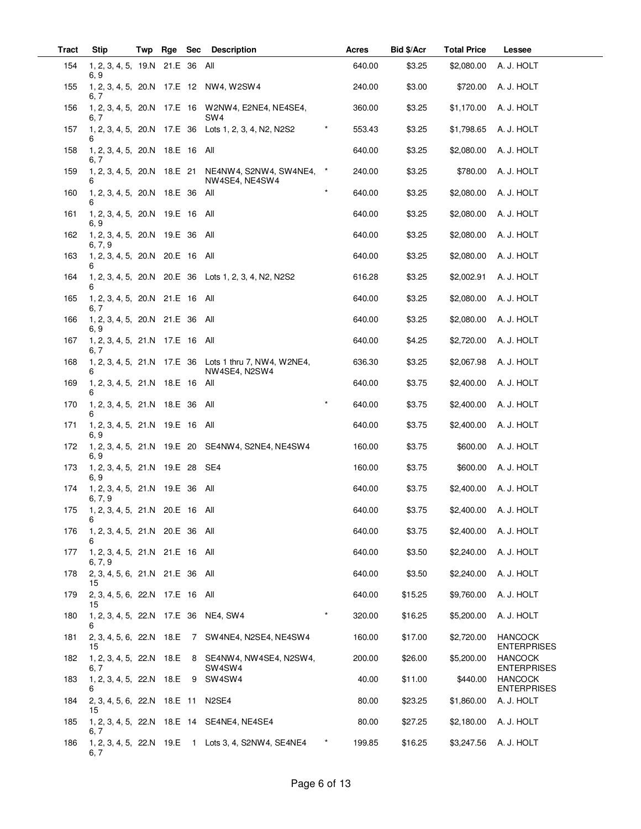| Tract | <b>Stip</b>                                | Twp | Rge | <b>Sec</b> | <b>Description</b>                                                      | Acres  | Bid \$/Acr | <b>Total Price</b> | Lessee                               |
|-------|--------------------------------------------|-----|-----|------------|-------------------------------------------------------------------------|--------|------------|--------------------|--------------------------------------|
| 154   | 1, 2, 3, 4, 5, 19.N 21.E 36 All<br>6, 9    |     |     |            |                                                                         | 640.00 | \$3.25     | \$2,080.00         | A. J. HOLT                           |
| 155   | 6, 7                                       |     |     |            | 1, 2, 3, 4, 5, 20.N 17.E 12 NW4, W2SW4                                  | 240.00 | \$3.00     | \$720.00           | A. J. HOLT                           |
| 156   | 6, 7                                       |     |     |            | 1, 2, 3, 4, 5, 20.N 17.E 16 W2NW4, E2NE4, NE4SE4,<br>SW4                | 360.00 | \$3.25     | \$1,170.00         | A. J. HOLT                           |
| 157   |                                            |     |     |            | 1, 2, 3, 4, 5, 20.N 17.E 36 Lots 1, 2, 3, 4, N2, N2S2<br>$^\star$       | 553.43 | \$3.25     | \$1,798.65         | A. J. HOLT                           |
| 158   | 1, 2, 3, 4, 5, 20.N 18.E 16<br>6, 7        |     |     |            | All                                                                     | 640.00 | \$3.25     | \$2,080.00         | A. J. HOLT                           |
| 159   | 1, 2, 3, 4, 5, 20.N 18.E 21<br>6           |     |     |            | NE4NW4, S2NW4, SW4NE4, *<br>NW4SE4, NE4SW4                              | 240.00 | \$3.25     | \$780.00           | A. J. HOLT                           |
| 160   | 1, 2, 3, 4, 5, 20.N 18.E 36 All            |     |     |            | $\star$                                                                 | 640.00 | \$3.25     | \$2,080.00         | A. J. HOLT                           |
| 161   | 1, 2, 3, 4, 5, 20.N 19.E 16<br>6, 9        |     |     |            | All                                                                     | 640.00 | \$3.25     | \$2,080.00         | A. J. HOLT                           |
| 162   | 1, 2, 3, 4, 5, 20.N 19.E 36<br>6, 7, 9     |     |     |            | All                                                                     | 640.00 | \$3.25     | \$2,080.00         | A. J. HOLT                           |
| 163   | 1, 2, 3, 4, 5, 20.N 20.E 16<br>6           |     |     |            | All                                                                     | 640.00 | \$3.25     | \$2,080.00         | A. J. HOLT                           |
| 164   | 6                                          |     |     |            | 1, 2, 3, 4, 5, 20.N 20.E 36 Lots 1, 2, 3, 4, N2, N2S2                   | 616.28 | \$3.25     | \$2,002.91         | A. J. HOLT                           |
| 165   | 1, 2, 3, 4, 5, 20.N 21.E 16<br>6, 7        |     |     |            | All                                                                     | 640.00 | \$3.25     | \$2,080.00         | A. J. HOLT                           |
| 166   | 1, 2, 3, 4, 5, 20.N 21.E 36<br>6, 9        |     |     |            | All                                                                     | 640.00 | \$3.25     | \$2,080.00         | A. J. HOLT                           |
| 167   | 1, 2, 3, 4, 5, 21.N 17.E 16 All<br>6, 7    |     |     |            |                                                                         | 640.00 | \$4.25     | \$2,720.00         | A. J. HOLT                           |
| 168   | 6                                          |     |     |            | 1, 2, 3, 4, 5, 21.N 17.E 36 Lots 1 thru 7, NW4, W2NE4,<br>NW4SE4, N2SW4 | 636.30 | \$3.25     | \$2,067.98         | A. J. HOLT                           |
| 169   | 1, 2, 3, 4, 5, 21.N 18.E 16<br>6           |     |     |            | All                                                                     | 640.00 | \$3.75     | \$2,400.00         | A. J. HOLT                           |
| 170   | 1, 2, 3, 4, 5, 21.N 18.E 36                |     |     |            | $\star$<br>All                                                          | 640.00 | \$3.75     | \$2,400.00         | A. J. HOLT                           |
| 171   | 1, 2, 3, 4, 5, 21.N 19.E 16 All<br>6, 9    |     |     |            |                                                                         | 640.00 | \$3.75     | \$2,400.00         | A. J. HOLT                           |
| 172   | 6, 9                                       |     |     |            | 1, 2, 3, 4, 5, 21.N 19.E 20 SE4NW4, S2NE4, NE4SW4                       | 160.00 | \$3.75     | \$600.00           | A. J. HOLT                           |
| 173   | 1, 2, 3, 4, 5, 21.N 19.E 28<br>6, 9        |     |     |            | SE4                                                                     | 160.00 | \$3.75     | \$600.00           | A. J. HOLT                           |
| 174   | 1, 2, 3, 4, 5, 21.N 19.E 36 All<br>6, 7, 9 |     |     |            |                                                                         | 640.00 | \$3.75     | \$2,400.00         | A. J. HOLT                           |
| 175   | 1, 2, 3, 4, 5, 21.N 20.E 16 All<br>6       |     |     |            |                                                                         | 640.00 | \$3.75     | \$2,400.00         | A. J. HOLT                           |
| 176   | 1, 2, 3, 4, 5, 21.N 20.E 36 All<br>6       |     |     |            |                                                                         | 640.00 | \$3.75     | \$2,400.00         | A. J. HOLT                           |
| 177   | 1, 2, 3, 4, 5, 21.N 21.E 16 All<br>6, 7, 9 |     |     |            |                                                                         | 640.00 | \$3.50     | \$2,240.00         | A. J. HOLT                           |
| 178   | 2, 3, 4, 5, 6, 21.N 21.E 36 All<br>15      |     |     |            |                                                                         | 640.00 | \$3.50     | \$2,240.00         | A. J. HOLT                           |
| 179   | 2, 3, 4, 5, 6, 22.N 17.E 16 All<br>15      |     |     |            |                                                                         | 640.00 | \$15.25    | \$9,760.00         | A. J. HOLT                           |
| 180   | 1, 2, 3, 4, 5, 22.N 17.E 36 NE4, SW4<br>6  |     |     |            | $\star$                                                                 | 320.00 | \$16.25    | \$5,200.00         | A. J. HOLT                           |
| 181   | 15                                         |     |     |            | 2, 3, 4, 5, 6, 22.N 18.E 7 SW4NE4, N2SE4, NE4SW4                        | 160.00 | \$17.00    | \$2,720.00         | <b>HANCOCK</b><br><b>ENTERPRISES</b> |
| 182   | 6, 7                                       |     |     |            | 1, 2, 3, 4, 5, 22. N 18. E 8 SE4NW4, NW4SE4, N2SW4,<br>SW4SW4           | 200.00 | \$26.00    | \$5,200.00         | <b>HANCOCK</b><br><b>ENTERPRISES</b> |
| 183   | 1, 2, 3, 4, 5, 22.N 18.E<br>6              |     |     |            | 9 SW4SW4                                                                | 40.00  | \$11.00    | \$440.00           | <b>HANCOCK</b><br><b>ENTERPRISES</b> |
| 184   | 2, 3, 4, 5, 6, 22.N 18.E 11 N2SE4<br>15    |     |     |            |                                                                         | 80.00  | \$23.25    | \$1,860.00         | A. J. HOLT                           |
| 185   | 6, 7                                       |     |     |            | 1, 2, 3, 4, 5, 22.N 18.E 14 SE4NE4, NE4SE4                              | 80.00  | \$27.25    | \$2,180.00         | A. J. HOLT                           |
| 186   | 6, 7                                       |     |     |            | 1, 2, 3, 4, 5, 22.N 19.E 1 Lots 3, 4, S2NW4, SE4NE4                     | 199.85 | \$16.25    | \$3,247.56         | A. J. HOLT                           |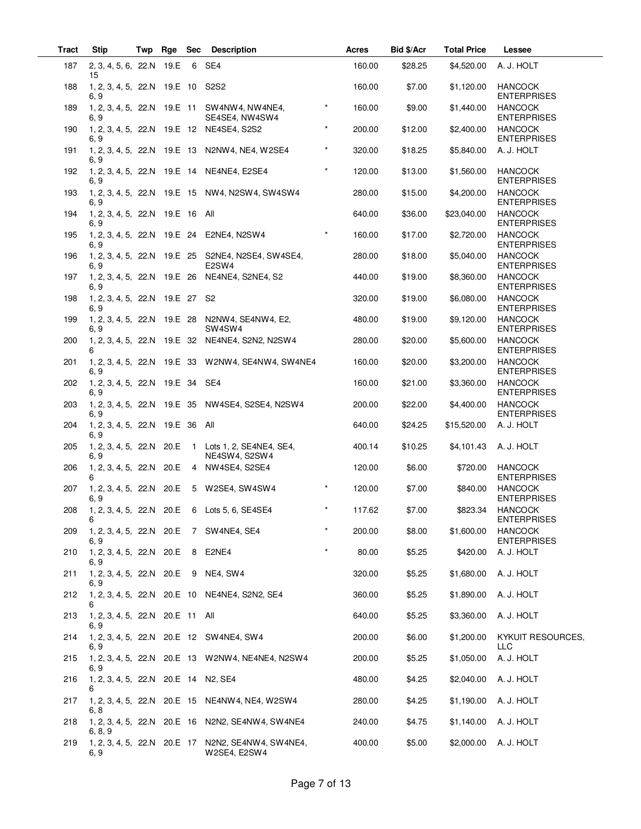| <b>Tract</b> | <b>Stip</b>                                 | Twp | Rge Sec |                | <b>Description</b>                                                  |         | Acres  | Bid \$/Acr | <b>Total Price</b> | Lessee                               |
|--------------|---------------------------------------------|-----|---------|----------------|---------------------------------------------------------------------|---------|--------|------------|--------------------|--------------------------------------|
| 187          | 2, 3, 4, 5, 6, 22.N 19.E<br>15              |     |         | 6              | SE4                                                                 |         | 160.00 | \$28.25    | \$4,520.00         | A. J. HOLT                           |
| 188          | 1, 2, 3, 4, 5, 22.N 19.E 10<br>6, 9         |     |         |                | S2S2                                                                |         | 160.00 | \$7.00     | \$1,120.00         | <b>HANCOCK</b><br><b>ENTERPRISES</b> |
| 189          | 1, 2, 3, 4, 5, 22.N 19.E 11<br>6, 9         |     |         |                | SW4NW4, NW4NE4,<br>SE4SE4, NW4SW4                                   | $\star$ | 160.00 | \$9.00     | \$1,440.00         | <b>HANCOCK</b><br><b>ENTERPRISES</b> |
| 190          | 6. 9                                        |     |         |                | 1, 2, 3, 4, 5, 22.N 19.E 12 NE4SE4, S2S2                            | $\star$ | 200.00 | \$12.00    | \$2,400.00         | <b>HANCOCK</b><br><b>ENTERPRISES</b> |
| 191          | 6, 9                                        |     |         |                | 1, 2, 3, 4, 5, 22.N 19.E 13 N2NW4, NE4, W2SE4                       | $\star$ | 320.00 | \$18.25    | \$5,840.00         | A. J. HOLT                           |
| 192          | 1, 2, 3, 4, 5, 22.N 19.E 14<br>6, 9         |     |         |                | NE4NE4, E2SE4                                                       | $\star$ | 120.00 | \$13.00    | \$1,560.00         | <b>HANCOCK</b><br><b>ENTERPRISES</b> |
| 193          | 6. 9                                        |     |         |                | 1, 2, 3, 4, 5, 22.N 19.E 15 NW4, N2SW4, SW4SW4                      |         | 280.00 | \$15.00    | \$4,200.00         | <b>HANCOCK</b><br><b>ENTERPRISES</b> |
| 194          | 1, 2, 3, 4, 5, 22.N 19.E 16 All<br>6, 9     |     |         |                |                                                                     |         | 640.00 | \$36.00    | \$23,040.00        | <b>HANCOCK</b><br><b>ENTERPRISES</b> |
| 195          | 6, 9                                        |     |         |                | 1, 2, 3, 4, 5, 22.N 19.E 24 E2NE4, N2SW4                            | $\star$ | 160.00 | \$17.00    | \$2,720.00         | <b>HANCOCK</b><br><b>ENTERPRISES</b> |
| 196          | 6.9                                         |     |         |                | 1, 2, 3, 4, 5, 22.N 19.E 25 S2NE4, N2SE4, SW4SE4,<br>E2SW4          |         | 280.00 | \$18.00    | \$5,040.00         | <b>HANCOCK</b><br><b>ENTERPRISES</b> |
| 197          | 1, 2, 3, 4, 5, 22.N 19.E 26<br>6, 9         |     |         |                | NE4NE4, S2NE4, S2                                                   |         | 440.00 | \$19.00    | \$8,360.00         | <b>HANCOCK</b><br><b>ENTERPRISES</b> |
| 198          | 1, 2, 3, 4, 5, 22.N 19.E 27<br>6, 9         |     |         |                | S <sub>2</sub>                                                      |         | 320.00 | \$19.00    | \$6,080.00         | <b>HANCOCK</b><br><b>ENTERPRISES</b> |
| 199          | 6.9                                         |     |         |                | 1, 2, 3, 4, 5, 22.N 19.E 28 N2NW4, SE4NW4, E2,<br>SW4SW4            |         | 480.00 | \$19.00    | \$9,120.00         | <b>HANCOCK</b><br><b>ENTERPRISES</b> |
| 200          | 1, 2, 3, 4, 5, 22.N 19.E 32<br>6            |     |         |                | NE4NE4, S2N2, N2SW4                                                 |         | 280.00 | \$20.00    | \$5,600.00         | <b>HANCOCK</b><br><b>ENTERPRISES</b> |
| 201          | 6, 9                                        |     |         |                | 1, 2, 3, 4, 5, 22.N 19.E 33 W2NW4, SE4NW4, SW4NE4                   |         | 160.00 | \$20.00    | \$3,200.00         | <b>HANCOCK</b><br><b>ENTERPRISES</b> |
| 202          | 1, 2, 3, 4, 5, 22.N 19.E 34<br>6, 9         |     |         |                | SE4                                                                 |         | 160.00 | \$21.00    | \$3,360.00         | <b>HANCOCK</b><br><b>ENTERPRISES</b> |
| 203          | 6. 9                                        |     |         |                | 1, 2, 3, 4, 5, 22.N 19.E 35 NW4SE4, S2SE4, N2SW4                    |         | 200.00 | \$22.00    | \$4,400.00         | <b>HANCOCK</b><br><b>ENTERPRISES</b> |
| 204          | 1, 2, 3, 4, 5, 22.N 19.E 36<br>6, 9         |     |         |                | All                                                                 |         | 640.00 | \$24.25    | \$15,520.00        | A. J. HOLT                           |
| 205          | 1, 2, 3, 4, 5, 22.N 20.E<br>6, 9            |     |         | $\overline{1}$ | Lots 1, 2, SE4NE4, SE4,<br>NE4SW4, S2SW4                            |         | 400.14 | \$10.25    | \$4,101.43         | A. J. HOLT                           |
| 206          | 1, 2, 3, 4, 5, 22.N 20.E                    |     |         |                | 4 NW4SE4, S2SE4                                                     |         | 120.00 | \$6.00     | \$720.00           | <b>HANCOCK</b><br><b>ENTERPRISES</b> |
| 207          | 1, 2, 3, 4, 5, 22.N 20.E<br>6, 9            |     |         |                | 5 W2SE4. SW4SW4                                                     | $\star$ | 120.00 | \$7.00     | \$840.00           | <b>HANCOCK</b><br><b>ENTERPRISES</b> |
| 208          | 6                                           |     |         |                | 1, 2, 3, 4, 5, 22. N 20. E 6 Lots 5, 6, SE4SE4                      | $\star$ | 117.62 | \$7.00     | \$823.34           | <b>HANCOCK</b><br><b>ENTERPRISES</b> |
| 209          | 6, 9                                        |     |         |                | 1, 2, 3, 4, 5, 22.N 20.E 7 SW4NE4, SE4                              |         | 200.00 | \$8.00     | \$1,600.00         | <b>HANCOCK</b><br><b>ENTERPRISES</b> |
| 210          | 1, 2, 3, 4, 5, 22.N 20.E<br>6, 9            |     |         | 8              | E2NE4                                                               | $\star$ | 80.00  | \$5.25     | \$420.00           | A. J. HOLT                           |
| 211          | 6, 9                                        |     |         |                | 1, 2, 3, 4, 5, 22.N 20.E 9 NE4, SW4                                 |         | 320.00 | \$5.25     | \$1,680.00         | A. J. HOLT                           |
| 212          | 6                                           |     |         |                | 1, 2, 3, 4, 5, 22.N 20.E 10 NE4NE4, S2N2, SE4                       |         | 360.00 | \$5.25     | \$1,890.00         | A. J. HOLT                           |
| 213          | 1, 2, 3, 4, 5, 22.N 20.E 11 All<br>6, 9     |     |         |                |                                                                     |         | 640.00 | \$5.25     | \$3,360.00         | A. J. HOLT                           |
| 214          | 6, 9                                        |     |         |                | 1, 2, 3, 4, 5, 22.N 20.E 12 SW4NE4, SW4                             |         | 200.00 | \$6.00     | \$1,200.00         | KYKUIT RESOURCES,<br><b>LLC</b>      |
| 215          | 6, 9                                        |     |         |                | 1, 2, 3, 4, 5, 22.N 20.E 13 W2NW4, NE4NE4, N2SW4                    |         | 200.00 | \$5.25     | \$1,050.00         | A. J. HOLT                           |
| 216          | 1, 2, 3, 4, 5, 22. N 20. E 14 N 2, SE4<br>6 |     |         |                |                                                                     |         | 480.00 | \$4.25     | \$2,040.00         | A. J. HOLT                           |
| 217          | 6, 8                                        |     |         |                | 1, 2, 3, 4, 5, 22.N 20.E 15 NE4NW4, NE4, W2SW4                      |         | 280.00 | \$4.25     | \$1,190.00         | A. J. HOLT                           |
| 218          | 6, 8, 9                                     |     |         |                | 1, 2, 3, 4, 5, 22.N 20.E 16 N2N2, SE4NW4, SW4NE4                    |         | 240.00 | \$4.75     | \$1,140.00         | A. J. HOLT                           |
| 219          | 6, 9                                        |     |         |                | 1, 2, 3, 4, 5, 22. N 20. E 17 N2N2, SE4NW4, SW4NE4,<br>W2SE4, E2SW4 |         | 400.00 | \$5.00     | \$2,000.00         | A. J. HOLT                           |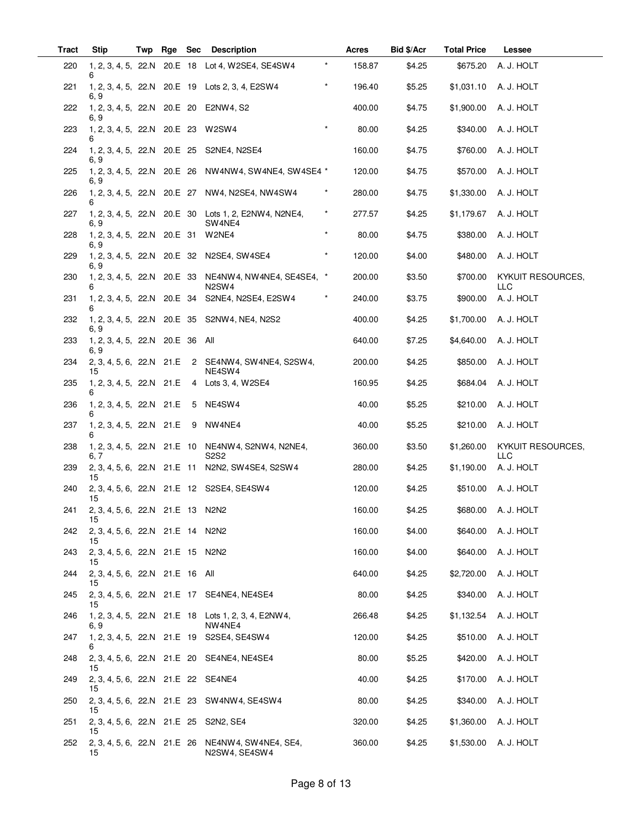| <b>Tract</b> | Stip                                          | Twp |  | Rge Sec Description                                                                     |          | Acres  | Bid \$/Acr | <b>Total Price</b> | Lessee                          |
|--------------|-----------------------------------------------|-----|--|-----------------------------------------------------------------------------------------|----------|--------|------------|--------------------|---------------------------------|
| 220          | 6                                             |     |  | 1, 2, 3, 4, 5, 22.N 20.E 18 Lot 4, W2SE4, SE4SW4                                        | $^\star$ | 158.87 | \$4.25     | \$675.20           | A. J. HOLT                      |
| 221          | 6, 9                                          |     |  | 1, 2, 3, 4, 5, 22.N 20.E 19 Lots 2, 3, 4, E2SW4                                         | $\star$  | 196.40 | \$5.25     | \$1,031.10         | A. J. HOLT                      |
| 222          | 6, 9                                          |     |  | 1, 2, 3, 4, 5, 22.N 20.E 20 E2NW4, S2                                                   |          | 400.00 | \$4.75     | \$1,900.00         | A. J. HOLT                      |
| 223          | 1, 2, 3, 4, 5, 22.N 20.E 23 W2SW4             |     |  |                                                                                         | $\star$  | 80.00  | \$4.25     | \$340.00           | A. J. HOLT                      |
| 224          | 1, 2, 3, 4, 5, 22.N 20.E 25<br>6, 9           |     |  | S2NE4, N2SE4                                                                            |          | 160.00 | \$4.75     | \$760.00           | A. J. HOLT                      |
| 225          | 6, 9                                          |     |  | 1, 2, 3, 4, 5, 22.N 20.E 26 NW4NW4, SW4NE4, SW4SE4 *                                    |          | 120.00 | \$4.75     | \$570.00           | A. J. HOLT                      |
| 226          |                                               |     |  | 1, 2, 3, 4, 5, 22.N 20.E 27 NW4, N2SE4, NW4SW4                                          |          | 280.00 | \$4.75     | \$1,330.00         | A. J. HOLT                      |
| 227          | 6, 9                                          |     |  | 1, 2, 3, 4, 5, 22. N 20. E 30 Lots 1, 2, E2NW4, N2NE4,<br>SW4NE4                        | $^\star$ | 277.57 | \$4.25     | \$1,179.67         | A. J. HOLT                      |
| 228          | 1, 2, 3, 4, 5, 22.N 20.E 31<br>6, 9           |     |  | W2NE4                                                                                   | $\star$  | 80.00  | \$4.75     | \$380.00           | A. J. HOLT                      |
| 229          | 6, 9                                          |     |  | 1, 2, 3, 4, 5, 22. N 20. E 32 N2SE4, SW4SE4                                             | $\star$  | 120.00 | \$4.00     | \$480.00           | A. J. HOLT                      |
| 230          | 6                                             |     |  | 1, 2, 3, 4, 5, 22.N 20.E 33 NE4NW4, NW4NE4, SE4SE4, *<br>N <sub>2</sub> SW <sub>4</sub> |          | 200.00 | \$3.50     | \$700.00           | KYKUIT RESOURCES,<br><b>LLC</b> |
| 231          | 6                                             |     |  | 1, 2, 3, 4, 5, 22.N 20.E 34 S2NE4, N2SE4, E2SW4                                         |          | 240.00 | \$3.75     | \$900.00           | A. J. HOLT                      |
| 232          | 6. 9                                          |     |  | 1, 2, 3, 4, 5, 22. N 20. E 35 S2NW4, NE4, N2S2                                          |          | 400.00 | \$4.25     | \$1,700.00         | A. J. HOLT                      |
| 233          | 1, 2, 3, 4, 5, 22.N 20.E 36 All<br>6, 9       |     |  |                                                                                         |          | 640.00 | \$7.25     | \$4,640.00         | A. J. HOLT                      |
| 234          | 15                                            |     |  | 2, 3, 4, 5, 6, 22.N 21.E 2 SE4NW4, SW4NE4, S2SW4,<br>NE4SW4                             |          | 200.00 | \$4.25     | \$850.00           | A. J. HOLT                      |
| 235          | 6                                             |     |  | 1, 2, 3, 4, 5, 22. N 21. E 4 Lots 3, 4, W2SE4                                           |          | 160.95 | \$4.25     | \$684.04           | A. J. HOLT                      |
| 236          | 1, 2, 3, 4, 5, 22.N 21.E                      |     |  | 5 NE4SW4                                                                                |          | 40.00  | \$5.25     | \$210.00           | A. J. HOLT                      |
| 237          | 1, 2, 3, 4, 5, 22.N 21.E 9 NW4NE4<br>6        |     |  |                                                                                         |          | 40.00  | \$5.25     | \$210.00           | A. J. HOLT                      |
| 238          | 6, 7                                          |     |  | 1, 2, 3, 4, 5, 22.N 21.E 10 NE4NW4, S2NW4, N2NE4,<br>S2S2                               |          | 360.00 | \$3.50     | \$1,260.00         | KYKUIT RESOURCES,<br><b>LLC</b> |
| 239          | 15                                            |     |  | 2, 3, 4, 5, 6, 22. N 21. E 11 N2N2, SW4SE4, S2SW4                                       |          | 280.00 | \$4.25     | \$1,190.00         | A. J. HOLT                      |
| 240          | 15                                            |     |  | 2, 3, 4, 5, 6, 22.N 21.E 12 S2SE4, SE4SW4                                               |          | 120.00 | \$4.25     | \$510.00           | A. J. HOLT                      |
| 241          | 2, 3, 4, 5, 6, 22.N 21.E 13 N2N2<br>15        |     |  |                                                                                         |          | 160.00 | \$4.25     |                    | \$680.00 A. J. HOLT             |
| 242          | 2, 3, 4, 5, 6, 22.N 21.E 14 N2N2<br>15        |     |  |                                                                                         |          | 160.00 | \$4.00     | \$640.00           | A. J. HOLT                      |
| 243          | 2, 3, 4, 5, 6, 22.N 21.E 15 N2N2<br>15        |     |  |                                                                                         |          | 160.00 | \$4.00     | \$640.00           | A. J. HOLT                      |
| 244          | 2, 3, 4, 5, 6, 22.N 21.E 16 All<br>15         |     |  |                                                                                         |          | 640.00 | \$4.25     | \$2,720.00         | A. J. HOLT                      |
| 245          | 15                                            |     |  | 2, 3, 4, 5, 6, 22. N 21. E 17 SE4NE4, NE4SE4                                            |          | 80.00  | \$4.25     | \$340.00           | A. J. HOLT                      |
| 246          | 6, 9                                          |     |  | 1, 2, 3, 4, 5, 22.N 21.E 18 Lots 1, 2, 3, 4, E2NW4,<br>NW4NE4                           |          | 266.48 | \$4.25     | \$1,132.54         | A. J. HOLT                      |
| 247          | 6                                             |     |  | 1, 2, 3, 4, 5, 22. N 21. E 19 S2SE4, SE4SW4                                             |          | 120.00 | \$4.25     | \$510.00           | A. J. HOLT                      |
| 248          | 15                                            |     |  | 2, 3, 4, 5, 6, 22. N 21. E 20 SE4NE4, NE4SE4                                            |          | 80.00  | \$5.25     | \$420.00           | A. J. HOLT                      |
| 249          | 2, 3, 4, 5, 6, 22.N 21.E 22 SE4NE4<br>15      |     |  |                                                                                         |          | 40.00  | \$4.25     | \$170.00           | A. J. HOLT                      |
| 250          | 15                                            |     |  | 2, 3, 4, 5, 6, 22.N 21.E 23 SW4NW4, SE4SW4                                              |          | 80.00  | \$4.25     | \$340.00           | A. J. HOLT                      |
| 251          | 2, 3, 4, 5, 6, 22. N 21. E 25 S2N2, SE4<br>15 |     |  |                                                                                         |          | 320.00 | \$4.25     | \$1,360.00         | A. J. HOLT                      |
| 252          | 15                                            |     |  | 2, 3, 4, 5, 6, 22.N 21.E 26 NE4NW4, SW4NE4, SE4,<br>N2SW4, SE4SW4                       |          | 360.00 | \$4.25     | \$1,530.00         | A. J. HOLT                      |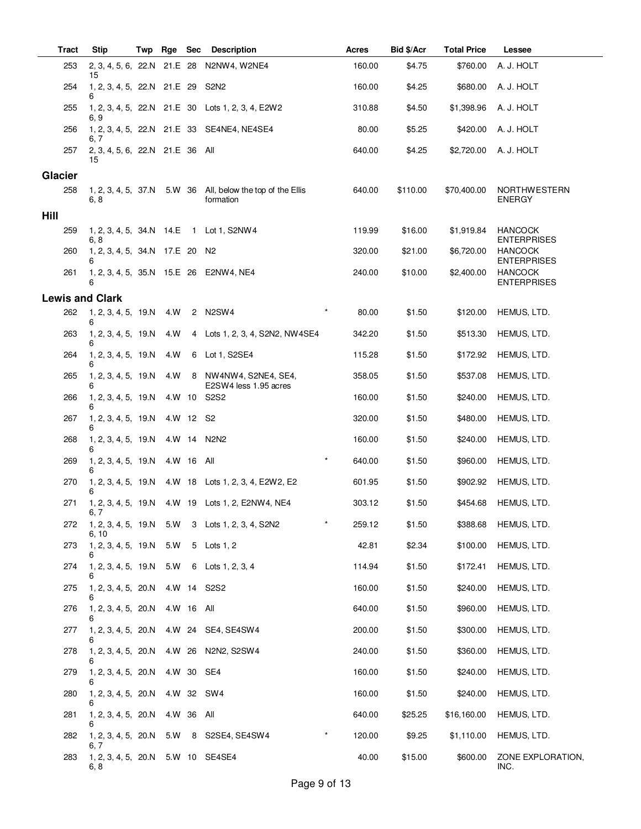| Tract                  | <b>Stip</b>                               | Twp | Rge        | Sec | <b>Description</b>                                  | Acres             | <b>Bid \$/Acr</b> | <b>Total Price</b> | Lessee                               |
|------------------------|-------------------------------------------|-----|------------|-----|-----------------------------------------------------|-------------------|-------------------|--------------------|--------------------------------------|
| 253                    | 2, 3, 4, 5, 6, 22.N 21.E 28<br>15         |     |            |     | N2NW4, W2NE4                                        | 160.00            | \$4.75            | \$760.00           | A. J. HOLT                           |
| 254                    | 1, 2, 3, 4, 5, 22.N 21.E 29<br>6          |     |            |     | S <sub>2</sub> N <sub>2</sub>                       | 160.00            | \$4.25            | \$680.00           | A. J. HOLT                           |
| 255                    | 6, 9                                      |     |            |     | 1, 2, 3, 4, 5, 22. N 21. E 30 Lots 1, 2, 3, 4, E2W2 | 310.88            | \$4.50            | \$1,398.96         | A. J. HOLT                           |
| 256                    | 6. 7                                      |     |            |     | 1, 2, 3, 4, 5, 22. N 21. E 33 SE4NE4, NE4SE4        | 80.00             | \$5.25            | \$420.00           | A. J. HOLT                           |
| 257                    | 2, 3, 4, 5, 6, 22.N 21.E 36 All<br>15     |     |            |     |                                                     | 640.00            | \$4.25            | \$2,720.00         | A. J. HOLT                           |
| <b>Glacier</b>         |                                           |     |            |     |                                                     |                   |                   |                    |                                      |
| 258                    | 1, 2, 3, 4, 5, 37.N 5.W 36<br>6.8         |     |            |     | All, below the top of the Ellis<br>formation        | 640.00            | \$110.00          | \$70,400.00        | <b>NORTHWESTERN</b><br><b>ENERGY</b> |
| Hill                   |                                           |     |            |     |                                                     |                   |                   |                    |                                      |
| 259                    | 6, 8                                      |     |            |     | 1, 2, 3, 4, 5, 34.N 14.E 1 Lot 1, S2NW4             | 119.99            | \$16.00           | \$1,919.84         | <b>HANCOCK</b><br><b>ENTERPRISES</b> |
| 260                    | 1, 2, 3, 4, 5, 34.N 17.E 20 N2<br>6       |     |            |     |                                                     | 320.00            | \$21.00           | \$6,720.00         | <b>HANCOCK</b><br><b>ENTERPRISES</b> |
| 261                    | 6                                         |     |            |     | 1, 2, 3, 4, 5, 35.N 15.E 26 E2NW4, NE4              | 240.00            | \$10.00           | \$2,400.00         | <b>HANCOCK</b><br><b>ENTERPRISES</b> |
| <b>Lewis and Clark</b> |                                           |     |            |     |                                                     |                   |                   |                    |                                      |
| 262                    | 1, 2, 3, 4, 5, 19.N<br>6                  |     | 4.W        |     | 2 N2SW4                                             | $\star$<br>80.00  | \$1.50            | \$120.00           | HEMUS, LTD.                          |
| 263                    | 1, 2, 3, 4, 5, 19.N<br>6                  |     | 4.W        |     | 4 Lots 1, 2, 3, 4, S2N2, NW4SE4                     | 342.20            | \$1.50            | \$513.30           | HEMUS, LTD.                          |
| 264                    | 1, 2, 3, 4, 5, 19.N<br>6                  |     | 4.W        | 6   | Lot 1, S2SE4                                        | 115.28            | \$1.50            | \$172.92           | HEMUS, LTD.                          |
| 265                    | 1, 2, 3, 4, 5, 19.N<br>6                  |     | 4.W        | 8   | NW4NW4, S2NE4, SE4,<br>E2SW4 less 1.95 acres        | 358.05            | \$1.50            | \$537.08           | HEMUS, LTD.                          |
| 266                    | 1, 2, 3, 4, 5, 19.N<br>6                  |     | 4.W 10     |     | S2S2                                                | 160.00            | \$1.50            | \$240.00           | HEMUS, LTD.                          |
| 267                    | 1, 2, 3, 4, 5, 19.N<br>6                  |     | 4.W 12 S2  |     |                                                     | 320.00            | \$1.50            | \$480.00           | HEMUS, LTD.                          |
| 268                    | 1, 2, 3, 4, 5, 19.N<br>6                  |     | 4.W 14     |     | N2N2                                                | 160.00            | \$1.50            | \$240.00           | HEMUS, LTD.                          |
| 269                    | 1, 2, 3, 4, 5, 19.N<br>6                  |     | 4.W 16 All |     |                                                     | $\star$<br>640.00 | \$1.50            | \$960.00           | HEMUS, LTD.                          |
| 270                    | 1, 2, 3, 4, 5, 19.N<br>6                  |     |            |     | 4.W 18 Lots 1, 2, 3, 4, E2W2, E2                    | 601.95            | \$1.50            | \$902.92           | HEMUS, LTD.                          |
| 271                    | 6, 7                                      |     |            |     | 1, 2, 3, 4, 5, 19. N 4. W 19 Lots 1, 2, E2NW4, NE4  | 303.12            | \$1.50            | \$454.68           | HEMUS, LTD.                          |
| 272                    | 6, 10                                     |     |            |     | 1, 2, 3, 4, 5, 19.N 5.W 3 Lots 1, 2, 3, 4, S2N2     | $\star$<br>259.12 | \$1.50            | \$388.68           | HEMUS, LTD.                          |
| 273                    | 1, 2, 3, 4, 5, 19.N<br>6                  |     | 5.W        | 5   | Lots $1, 2$                                         | 42.81             | \$2.34            | \$100.00           | HEMUS, LTD.                          |
| 274                    | 1, 2, 3, 4, 5, 19.N<br>6                  |     | 5.W        |     | 6 Lots 1, 2, 3, 4                                   | 114.94            | \$1.50            | \$172.41           | HEMUS, LTD.                          |
| 275                    | 1, 2, 3, 4, 5, 20.N                       |     |            |     | 4.W 14 S2S2                                         | 160.00            | \$1.50            | \$240.00           | HEMUS, LTD.                          |
| 276                    | 1, 2, 3, 4, 5, 20.N<br>6                  |     | 4.W 16 All |     |                                                     | 640.00            | \$1.50            | \$960.00           | HEMUS, LTD.                          |
| 277                    | 1, 2, 3, 4, 5, 20.N<br>6                  |     |            |     | 4.W 24 SE4, SE4SW4                                  | 200.00            | \$1.50            | \$300.00           | HEMUS, LTD.                          |
| 278                    |                                           |     |            |     | 1, 2, 3, 4, 5, 20.N 4.W 26 N2N2, S2SW4              | 240.00            | \$1.50            | \$360.00           | HEMUS, LTD.                          |
| 279                    | 1, 2, 3, 4, 5, 20.N                       |     |            |     | 4.W 30 SE4                                          | 160.00            | \$1.50            | \$240.00           | HEMUS, LTD.                          |
| 280                    | 1, 2, 3, 4, 5, 20.N<br>6                  |     |            |     | 4.W 32 SW4                                          | 160.00            | \$1.50            | \$240.00           | HEMUS, LTD.                          |
| 281                    | 1, 2, 3, 4, 5, 20.N<br>6                  |     | 4.W 36 All |     |                                                     | 640.00            | \$25.25           | \$16,160.00        | HEMUS, LTD.                          |
| 282                    | 1, 2, 3, 4, 5, 20.N<br>6.7                |     |            |     | 5.W 8 S2SE4, SE4SW4                                 | $\star$<br>120.00 | \$9.25            | \$1,110.00         | HEMUS, LTD.                          |
| 283                    | 1, 2, 3, 4, 5, 20.N 5.W 10 SE4SE4<br>6, 8 |     |            |     |                                                     | 40.00             | \$15.00           | \$600.00           | ZONE EXPLORATION,<br>INC.            |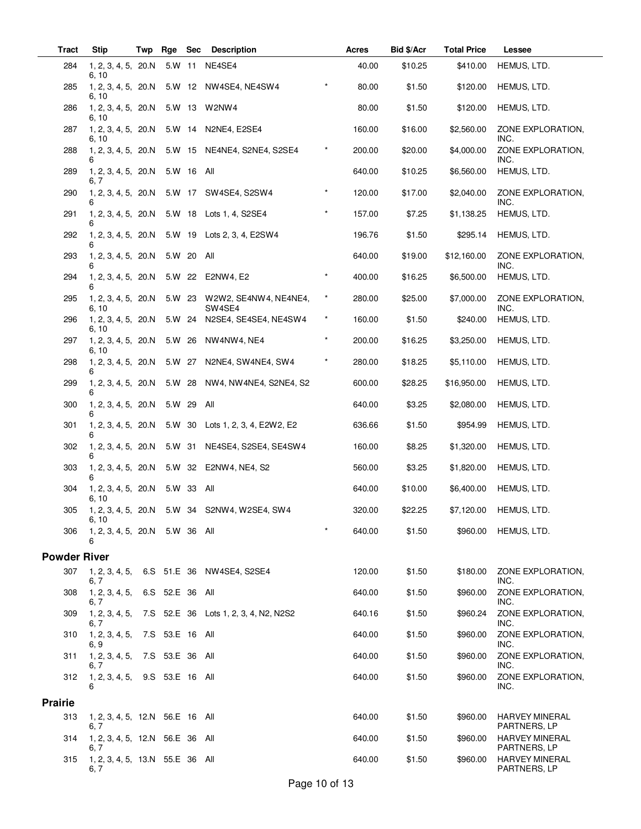| <b>Tract</b>        | <b>Stip</b>                             | Twp | Rge             | <b>Sec</b> | <b>Description</b>                                  |            | <b>Acres</b> | Bid \$/Acr | <b>Total Price</b> | Lessee                                |
|---------------------|-----------------------------------------|-----|-----------------|------------|-----------------------------------------------------|------------|--------------|------------|--------------------|---------------------------------------|
| 284                 | 1, 2, 3, 4, 5, 20.N<br>6, 10            |     |                 | 5.W 11     | NE4SE4                                              |            | 40.00        | \$10.25    | \$410.00           | HEMUS, LTD.                           |
| 285                 | 1, 2, 3, 4, 5, 20.N<br>6, 10            |     |                 |            | 5.W 12 NW4SE4, NE4SW4                               |            | 80.00        | \$1.50     | \$120.00           | HEMUS, LTD.                           |
| 286                 | 1, 2, 3, 4, 5, 20.N<br>6, 10            |     |                 |            | 5.W 13 W2NW4                                        |            | 80.00        | \$1.50     | \$120.00           | HEMUS, LTD.                           |
| 287                 | 1, 2, 3, 4, 5, 20.N<br>6, 10            |     |                 |            | 5.W 14 N2NE4, E2SE4                                 |            | 160.00       | \$16.00    | \$2,560.00         | ZONE EXPLORATION,<br>INC.             |
| 288                 | 1, 2, 3, 4, 5, 20.N<br>6                |     |                 |            | 5.W 15 NE4NE4, S2NE4, S2SE4                         | $^\star$   | 200.00       | \$20.00    | \$4,000.00         | ZONE EXPLORATION,<br>INC.             |
| 289                 | 1, 2, 3, 4, 5, 20.N<br>6, 7             |     |                 | 5.W 16 All |                                                     |            | 640.00       | \$10.25    | \$6,560.00         | HEMUS, LTD.                           |
| 290                 | 1, 2, 3, 4, 5, 20.N<br>6                |     |                 | 5.W 17     | SW4SE4, S2SW4                                       | $\star$    | 120.00       | \$17.00    | \$2,040.00         | ZONE EXPLORATION,<br>INC.             |
| 291                 | 1, 2, 3, 4, 5, 20.N<br>6                |     |                 |            | 5.W 18 Lots 1, 4, S2SE4                             | $\star$    | 157.00       | \$7.25     | \$1,138.25         | HEMUS, LTD.                           |
| 292                 | 1, 2, 3, 4, 5, 20.N<br>6                |     |                 |            | 5.W 19 Lots 2, 3, 4, E2SW4                          |            | 196.76       | \$1.50     | \$295.14           | HEMUS, LTD.                           |
| 293                 | 1, 2, 3, 4, 5, 20.N<br>6                |     |                 | 5.W 20 All |                                                     |            | 640.00       | \$19.00    | \$12,160.00        | ZONE EXPLORATION,<br>INC.             |
| 294                 | 1, 2, 3, 4, 5, 20.N<br>6                |     |                 |            | 5.W 22 E2NW4, E2                                    | $^{\star}$ | 400.00       | \$16.25    | \$6,500.00         | HEMUS, LTD.                           |
| 295                 | 1, 2, 3, 4, 5, 20.N<br>6, 10            |     |                 |            | 5.W 23 W2W2, SE4NW4, NE4NE4,<br>SW <sub>4</sub> SE4 | $^\star$   | 280.00       | \$25.00    | \$7,000.00         | ZONE EXPLORATION,<br>INC.             |
| 296                 | 1, 2, 3, 4, 5, 20.N<br>6, 10            |     |                 |            | 5.W 24 N2SE4, SE4SE4, NE4SW4                        | $^\star$   | 160.00       | \$1.50     | \$240.00           | HEMUS, LTD.                           |
| 297                 | 1, 2, 3, 4, 5, 20.N<br>6, 10            |     | 5.W 26          |            | NW4NW4, NE4                                         | $\star$    | 200.00       | \$16.25    | \$3,250.00         | HEMUS, LTD.                           |
| 298                 | 1, 2, 3, 4, 5, 20.N<br>6                |     |                 | 5.W 27     | N2NE4, SW4NE4, SW4                                  | $^\star$   | 280.00       | \$18.25    | \$5,110.00         | HEMUS, LTD.                           |
| 299                 | 1, 2, 3, 4, 5, 20.N<br>6                |     |                 |            | 5.W 28 NW4, NW4NE4, S2NE4, S2                       |            | 600.00       | \$28.25    | \$16,950.00        | HEMUS, LTD.                           |
| 300                 | 1, 2, 3, 4, 5, 20.N                     |     |                 | 5.W 29 All |                                                     |            | 640.00       | \$3.25     | \$2,080.00         | HEMUS, LTD.                           |
| 301                 | 1, 2, 3, 4, 5, 20.N<br>6                |     |                 |            | 5.W 30 Lots 1, 2, 3, 4, E2W2, E2                    |            | 636.66       | \$1.50     | \$954.99           | HEMUS, LTD.                           |
| 302                 | 1, 2, 3, 4, 5, 20.N<br>6                |     |                 | 5.W 31     | NE4SE4, S2SE4, SE4SW4                               |            | 160.00       | \$8.25     | \$1,320.00         | HEMUS, LTD.                           |
| 303                 | 1, 2, 3, 4, 5, 20.N                     |     |                 |            | 5.W 32 E2NW4, NE4, S2                               |            | 560.00       | \$3.25     | \$1,820.00         | HEMUS, LTD.                           |
| 304                 | 1, 2, 3, 4, 5, 20.N<br>6, 10            |     |                 | 5.W 33 All |                                                     |            | 640.00       | \$10.00    | \$6,400.00         | HEMUS, LTD.                           |
| 305                 | 6, 10                                   |     |                 |            | 1, 2, 3, 4, 5, 20.N 5.W 34 S2NW4, W2SE4, SW4        |            | 320.00       | \$22.25    |                    | \$7,120.00 HEMUS, LTD.                |
| 306                 | 1, 2, 3, 4, 5, 20.N 5.W 36 All<br>6     |     |                 |            |                                                     | $\star$    | 640.00       | \$1.50     |                    | \$960.00 HEMUS, LTD.                  |
| <b>Powder River</b> |                                         |     |                 |            |                                                     |            |              |            |                    |                                       |
| 307                 | 6, 7                                    |     |                 |            | 1, 2, 3, 4, 5, 6.S 51.E 36 NW4SE4, S2SE4            |            | 120.00       | \$1.50     | \$180.00           | ZONE EXPLORATION,<br>INC.             |
| 308                 | 1, 2, 3, 4, 5,<br>6, 7                  |     | 6.S 52.E 36 All |            |                                                     |            | 640.00       | \$1.50     | \$960.00           | ZONE EXPLORATION,<br>INC.             |
| 309                 | 1, 2, 3, 4, 5,<br>6, 7                  |     |                 |            | 7.S 52.E 36 Lots 1, 2, 3, 4, N2, N2S2               |            | 640.16       | \$1.50     | \$960.24           | ZONE EXPLORATION.<br>INC.             |
| 310                 | 1, 2, 3, 4, 5,<br>6, 9                  |     | 7.S 53.E 16 All |            |                                                     |            | 640.00       | \$1.50     | \$960.00           | ZONE EXPLORATION,<br>INC.             |
| 311                 | 1, 2, 3, 4, 5,<br>6, 7                  |     | 7.S 53.E 36 All |            |                                                     |            | 640.00       | \$1.50     | \$960.00           | ZONE EXPLORATION,<br>INC.             |
| 312                 | 1, 2, 3, 4, 5, 9.S 53.E 16 All<br>6     |     |                 |            |                                                     |            | 640.00       | \$1.50     | \$960.00           | ZONE EXPLORATION,<br>INC.             |
| <b>Prairie</b>      |                                         |     |                 |            |                                                     |            |              |            |                    |                                       |
| 313                 | 1, 2, 3, 4, 5, 12.N 56.E 16 All<br>6, 7 |     |                 |            |                                                     |            | 640.00       | \$1.50     | \$960.00           | HARVEY MINERAL<br>PARTNERS, LP        |
| 314                 | 1, 2, 3, 4, 5, 12.N 56.E 36 All<br>6. 7 |     |                 |            |                                                     |            | 640.00       | \$1.50     | \$960.00           | <b>HARVEY MINERAL</b><br>PARTNERS, LP |
| 315                 | 1, 2, 3, 4, 5, 13.N 55.E 36 All<br>6. 7 |     |                 |            |                                                     |            | 640.00       | \$1.50     | \$960.00           | <b>HARVEY MINERAL</b><br>PARTNERS, LP |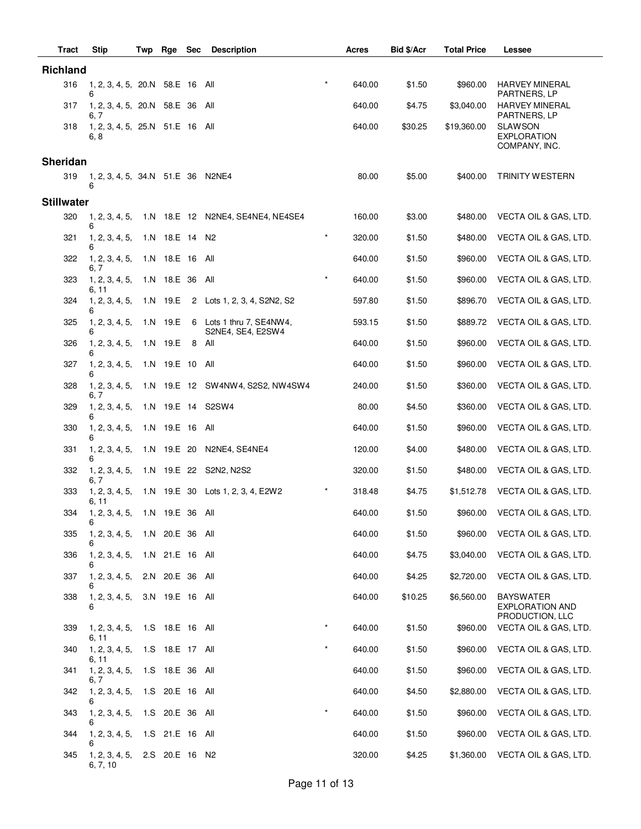| <b>Tract</b>      | <b>Stip</b>                             | Twp | Rge                | <b>Sec</b> | <b>Description</b>                               |          | Acres  | Bid \$/Acr | <b>Total Price</b> | Lessee                                                        |
|-------------------|-----------------------------------------|-----|--------------------|------------|--------------------------------------------------|----------|--------|------------|--------------------|---------------------------------------------------------------|
| <b>Richland</b>   |                                         |     |                    |            |                                                  |          |        |            |                    |                                                               |
| 316               | 1, 2, 3, 4, 5, 20.N 58.E 16 All<br>6    |     |                    |            |                                                  | $\star$  | 640.00 | \$1.50     | \$960.00           | <b>HARVEY MINERAL</b><br>PARTNERS, LP                         |
| 317               | 1, 2, 3, 4, 5, 20.N 58.E 36 All<br>6. 7 |     |                    |            |                                                  |          | 640.00 | \$4.75     | \$3,040.00         | <b>HARVEY MINERAL</b><br>PARTNERS, LP                         |
| 318               | 1, 2, 3, 4, 5, 25.N 51.E 16 All<br>6, 8 |     |                    |            |                                                  |          | 640.00 | \$30.25    | \$19,360.00        | <b>SLAWSON</b><br><b>EXPLORATION</b><br>COMPANY, INC.         |
| Sheridan          |                                         |     |                    |            |                                                  |          |        |            |                    |                                                               |
| 319               | 1, 2, 3, 4, 5, 34.N 51.E 36 N2NE4<br>6  |     |                    |            |                                                  |          | 80.00  | \$5.00     | \$400.00           | <b>TRINITY WESTERN</b>                                        |
| <b>Stillwater</b> |                                         |     |                    |            |                                                  |          |        |            |                    |                                                               |
| 320               | 6                                       |     |                    |            | 1, 2, 3, 4, 5, 1.N 18.E 12 N2NE4, SE4NE4, NE4SE4 |          | 160.00 | \$3.00     | \$480.00           | VECTA OIL & GAS, LTD.                                         |
| 321               | 1, 2, 3, 4, 5,<br>6                     |     | 1.N 18.E 14 N2     |            |                                                  | $\star$  | 320.00 | \$1.50     | \$480.00           | VECTA OIL & GAS, LTD.                                         |
| 322               | 1, 2, 3, 4, 5,<br>6, 7                  |     | 1.N 18.E 16 All    |            |                                                  |          | 640.00 | \$1.50     | \$960.00           | VECTA OIL & GAS, LTD.                                         |
| 323               | 1, 2, 3, 4, 5,<br>6, 11                 |     | 1.N 18.E 36 All    |            |                                                  | $\star$  | 640.00 | \$1.50     | \$960.00           | VECTA OIL & GAS, LTD.                                         |
| 324               | 1, 2, 3, 4, 5,<br>6                     |     | 1.N 19.E           |            | 2 Lots 1, 2, 3, 4, S2N2, S2                      |          | 597.80 | \$1.50     | \$896.70           | VECTA OIL & GAS, LTD.                                         |
| 325               | 1, 2, 3, 4, 5,<br>6                     |     | 1.N 19.E           |            | 6 Lots 1 thru 7, SE4NW4,<br>S2NE4, SE4, E2SW4    |          | 593.15 | \$1.50     | \$889.72           | VECTA OIL & GAS, LTD.                                         |
| 326               | 1, 2, 3, 4, 5,<br>6                     |     | 1.N 19.E           |            | 8 All                                            |          | 640.00 | \$1.50     | \$960.00           | VECTA OIL & GAS, LTD.                                         |
| 327               | 1, 2, 3, 4, 5,<br>6                     |     | 1.N 19.E 10 All    |            |                                                  |          | 640.00 | \$1.50     | \$960.00           | VECTA OIL & GAS, LTD.                                         |
| 328               | 1, 2, 3, 4, 5,                          |     |                    |            | 1.N 19.E 12 SW4NW4, S2S2, NW4SW4                 |          | 240.00 | \$1.50     | \$360.00           | VECTA OIL & GAS, LTD.                                         |
| 329               | 6, 7<br>1, 2, 3, 4, 5,<br>6             |     |                    |            | 1.N 19.E 14 S2SW4                                |          | 80.00  | \$4.50     | \$360.00           | VECTA OIL & GAS, LTD.                                         |
| 330               | 1, 2, 3, 4, 5,                          |     | 1.N 19.E 16 All    |            |                                                  |          | 640.00 | \$1.50     | \$960.00           | VECTA OIL & GAS, LTD.                                         |
| 331               | 1, 2, 3, 4, 5,<br>6                     |     |                    |            | 1.N 19.E 20 N2NE4, SE4NE4                        |          | 120.00 | \$4.00     | \$480.00           | VECTA OIL & GAS, LTD.                                         |
| 332               | 1, 2, 3, 4, 5,<br>6, 7                  |     |                    |            | 1.N 19.E 22 S2N2, N2S2                           |          | 320.00 | \$1.50     | \$480.00           | VECTA OIL & GAS, LTD.                                         |
| 333               | 1, 2, 3, 4, 5,<br>6, 11                 |     |                    |            | 1.N 19.E 30 Lots 1, 2, 3, 4, E2W2                |          | 318.48 | \$4.75     | \$1,512.78         | VECTA OIL & GAS, LTD.                                         |
| 334               | 1, 2, 3, 4, 5, 1.N 19.E 36 All<br>6     |     |                    |            |                                                  |          | 640.00 | \$1.50     |                    | \$960.00 VECTA OIL & GAS, LTD.                                |
| 335               | 1, 2, 3, 4, 5,<br>6                     |     | 1.N 20.E 36 All    |            |                                                  |          | 640.00 | \$1.50     | \$960.00           | VECTA OIL & GAS, LTD.                                         |
| 336               | 1, 2, 3, 4, 5,<br>6                     |     | 1.N 21.E 16 All    |            |                                                  |          | 640.00 | \$4.75     | \$3,040.00         | VECTA OIL & GAS, LTD.                                         |
| 337               | 1, 2, 3, 4, 5,<br>6                     |     | 2.N 20.E 36 All    |            |                                                  |          | 640.00 | \$4.25     | \$2,720.00         | VECTA OIL & GAS, LTD.                                         |
| 338               | 1, 2, 3, 4, 5,<br>6                     |     | 3.N 19.E 16 All    |            |                                                  |          | 640.00 | \$10.25    | \$6,560.00         | <b>BAYSWATER</b><br><b>EXPLORATION AND</b><br>PRODUCTION, LLC |
| 339               | 1, 2, 3, 4, 5,<br>6, 11                 |     | 1.S  18.E  16  All |            |                                                  | $^\star$ | 640.00 | \$1.50     | \$960.00           | VECTA OIL & GAS, LTD.                                         |
| 340               | 1, 2, 3, 4, 5,<br>6, 11                 |     | 1.S  18.E  17  All |            |                                                  | $\star$  | 640.00 | \$1.50     | \$960.00           | VECTA OIL & GAS, LTD.                                         |
| 341               | 1, 2, 3, 4, 5,<br>6, 7                  |     | 1.S  18.E  36  All |            |                                                  |          | 640.00 | \$1.50     | \$960.00           | VECTA OIL & GAS, LTD.                                         |
| 342               | 1, 2, 3, 4, 5,<br>6                     |     | 1.S 20.E 16 All    |            |                                                  |          | 640.00 | \$4.50     | \$2,880.00         | VECTA OIL & GAS, LTD.                                         |
| 343               | 1, 2, 3, 4, 5,<br>6                     |     | 1.S 20.E 36 All    |            |                                                  | $\star$  | 640.00 | \$1.50     | \$960.00           | VECTA OIL & GAS, LTD.                                         |
| 344               | 1, 2, 3, 4, 5,<br>6                     |     | 1.S 21.E 16 All    |            |                                                  |          | 640.00 | \$1.50     | \$960.00           | VECTA OIL & GAS, LTD.                                         |
| 345               | 1, 2, 3, 4, 5,<br>6, 7, 10              |     | 2.S 20.E 16 N2     |            |                                                  |          | 320.00 | \$4.25     | \$1,360.00         | VECTA OIL & GAS, LTD.                                         |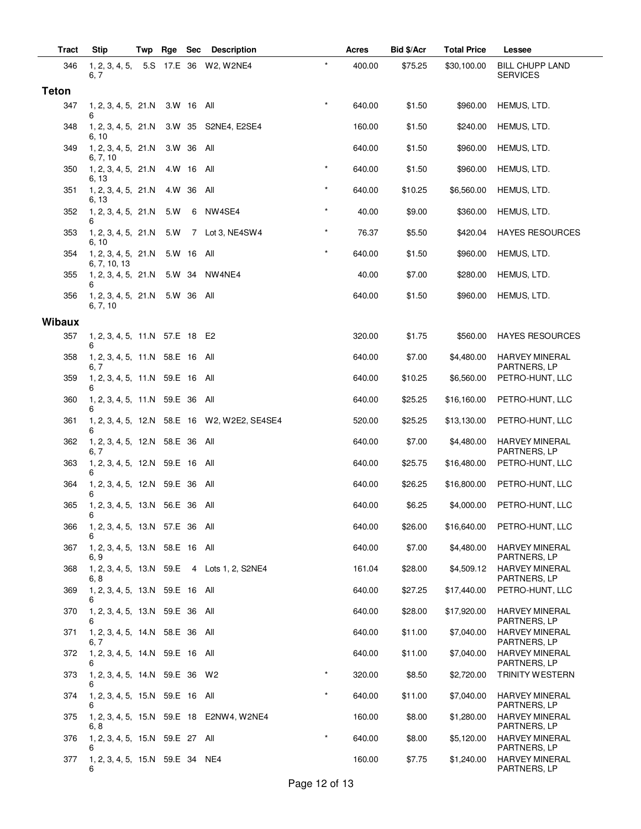| <b>Tract</b>  | Stip                                    | Twp | Rge    | Sec         | <b>Description</b>                           | Acres  | Bid \$/Acr | <b>Total Price</b> | Lessee                                |
|---------------|-----------------------------------------|-----|--------|-------------|----------------------------------------------|--------|------------|--------------------|---------------------------------------|
| 346           | 1, 2, 3, 4, 5,<br>6, 7                  |     |        |             | $\star$<br>5.S 17.E 36 W2, W2NE4             | 400.00 | \$75.25    | \$30,100.00        | BILL CHUPP LAND<br><b>SERVICES</b>    |
| <b>Teton</b>  |                                         |     |        |             |                                              |        |            |                    |                                       |
| 347           | 1, 2, 3, 4, 5, 21.N<br>6                |     |        | 3.W 16 All  | $\star$                                      | 640.00 | \$1.50     | \$960.00           | HEMUS, LTD.                           |
| 348           | 1, 2, 3, 4, 5, 21.N<br>6, 10            |     | 3.W 35 |             | S2NE4, E2SE4                                 | 160.00 | \$1.50     | \$240.00           | HEMUS, LTD.                           |
| 349           | 1, 2, 3, 4, 5, 21.N<br>6, 7, 10         |     | 3.W 36 |             | All                                          | 640.00 | \$1.50     | \$960.00           | HEMUS, LTD.                           |
| 350           | 1, 2, 3, 4, 5, 21.N<br>6, 13            |     | 4.W 16 |             | $\star$<br>All                               | 640.00 | \$1.50     | \$960.00           | HEMUS, LTD.                           |
| 351           | 1, 2, 3, 4, 5, 21.N<br>6, 13            |     | 4.W 36 |             | $\star$<br>All                               | 640.00 | \$10.25    | \$6,560.00         | HEMUS, LTD.                           |
| 352           | 1, 2, 3, 4, 5, 21.N<br>6                |     | 5.W    | 6           | $\star$<br>NW4SE4                            | 40.00  | \$9.00     | \$360.00           | HEMUS, LTD.                           |
| 353           | 1, 2, 3, 4, 5, 21.N<br>6, 10            |     | 5.W    | $7^{\circ}$ | $\star$<br>Lot 3, NE4SW4                     | 76.37  | \$5.50     | \$420.04           | <b>HAYES RESOURCES</b>                |
| 354           | 1, 2, 3, 4, 5, 21.N<br>6, 7, 10, 13     |     |        | 5.W 16 All  | $\star$                                      | 640.00 | \$1.50     | \$960.00           | HEMUS, LTD.                           |
| 355           | 1, 2, 3, 4, 5, 21.N<br>6                |     | 5.W 34 |             | NW4NE4                                       | 40.00  | \$7.00     | \$280.00           | HEMUS, LTD.                           |
| 356           | 1, 2, 3, 4, 5, 21.N<br>6, 7, 10         |     |        | 5.W 36 All  |                                              | 640.00 | \$1.50     | \$960.00           | HEMUS, LTD.                           |
| <b>Wibaux</b> |                                         |     |        |             |                                              |        |            |                    |                                       |
| 357           | 1, 2, 3, 4, 5, 11.N 57.E 18 E2<br>6     |     |        |             |                                              | 320.00 | \$1.75     | \$560.00           | <b>HAYES RESOURCES</b>                |
| 358           | 1, 2, 3, 4, 5, 11.N 58.E 16 All<br>6, 7 |     |        |             |                                              | 640.00 | \$7.00     | \$4,480.00         | <b>HARVEY MINERAL</b><br>PARTNERS, LP |
| 359           | 1, 2, 3, 4, 5, 11.N 59.E 16 All<br>6    |     |        |             |                                              | 640.00 | \$10.25    | \$6,560.00         | PETRO-HUNT, LLC                       |
| 360           | 1, 2, 3, 4, 5, 11.N 59.E 36<br>6        |     |        |             | All                                          | 640.00 | \$25.25    | \$16,160.00        | PETRO-HUNT, LLC                       |
| 361           | 6                                       |     |        |             | 1, 2, 3, 4, 5, 12.N 58.E 16 W2, W2E2, SE4SE4 | 520.00 | \$25.25    | \$13,130.00        | PETRO-HUNT, LLC                       |
| 362           | 1, 2, 3, 4, 5, 12.N 58.E 36<br>6, 7     |     |        |             | All                                          | 640.00 | \$7.00     | \$4,480.00         | <b>HARVEY MINERAL</b><br>PARTNERS, LP |
| 363           | 1, 2, 3, 4, 5, 12.N 59.E 16<br>6        |     |        |             | All                                          | 640.00 | \$25.75    | \$16,480.00        | PETRO-HUNT, LLC                       |
| 364           | 1, 2, 3, 4, 5, 12.N 59.E 36<br>6        |     |        |             | All                                          | 640.00 | \$26.25    | \$16,800.00        | PETRO-HUNT, LLC                       |
| 365           | 1, 2, 3, 4, 5, 13.N 56.E 36 All<br>6    |     |        |             |                                              | 640.00 | \$6.25     | \$4,000.00         | PETRO-HUNT, LLC                       |
| 366           | 1, 2, 3, 4, 5, 13.N 57.E 36 All         |     |        |             |                                              | 640.00 | \$26.00    | \$16,640.00        | PETRO-HUNT, LLC                       |
| 367           | 1, 2, 3, 4, 5, 13.N 58.E 16 All<br>6, 9 |     |        |             |                                              | 640.00 | \$7.00     | \$4,480.00         | <b>HARVEY MINERAL</b><br>PARTNERS, LP |
| 368           | 6, 8                                    |     |        |             | 1, 2, 3, 4, 5, 13.N 59.E 4 Lots 1, 2, S2NE4  | 161.04 | \$28.00    | \$4,509.12         | <b>HARVEY MINERAL</b><br>PARTNERS, LP |
| 369           | 1, 2, 3, 4, 5, 13.N 59.E 16 All         |     |        |             |                                              | 640.00 | \$27.25    | \$17,440.00        | PETRO-HUNT, LLC                       |
| 370           | 1, 2, 3, 4, 5, 13.N 59.E 36 All<br>6    |     |        |             |                                              | 640.00 | \$28.00    | \$17,920.00        | <b>HARVEY MINERAL</b><br>PARTNERS, LP |
| 371           | 1, 2, 3, 4, 5, 14.N 58.E 36 All<br>6, 7 |     |        |             |                                              | 640.00 | \$11.00    | \$7,040.00         | <b>HARVEY MINERAL</b><br>PARTNERS, LP |
| 372           | 1, 2, 3, 4, 5, 14.N 59.E 16 All<br>6    |     |        |             |                                              | 640.00 | \$11.00    | \$7,040.00         | <b>HARVEY MINERAL</b><br>PARTNERS, LP |
| 373           | 1, 2, 3, 4, 5, 14.N 59.E 36 W2<br>6     |     |        |             | $\star$                                      | 320.00 | \$8.50     | \$2,720.00         | TRINITY WESTERN                       |
| 374           | 1, 2, 3, 4, 5, 15.N 59.E 16 All<br>6    |     |        |             | $\star$                                      | 640.00 | \$11.00    | \$7,040.00         | <b>HARVEY MINERAL</b><br>PARTNERS, LP |
| 375           | 6, 8                                    |     |        |             | 1, 2, 3, 4, 5, 15.N 59.E 18 E2NW4, W2NE4     | 160.00 | \$8.00     | \$1,280.00         | <b>HARVEY MINERAL</b><br>PARTNERS, LP |
| 376           | 1, 2, 3, 4, 5, 15.N 59.E 27 All         |     |        |             | $\star$                                      | 640.00 | \$8.00     | \$5,120.00         | <b>HARVEY MINERAL</b><br>PARTNERS, LP |
| 377           | 1, 2, 3, 4, 5, 15.N 59.E 34 NE4<br>6    |     |        |             |                                              | 160.00 | \$7.75     | \$1,240.00         | <b>HARVEY MINERAL</b><br>PARTNERS, LP |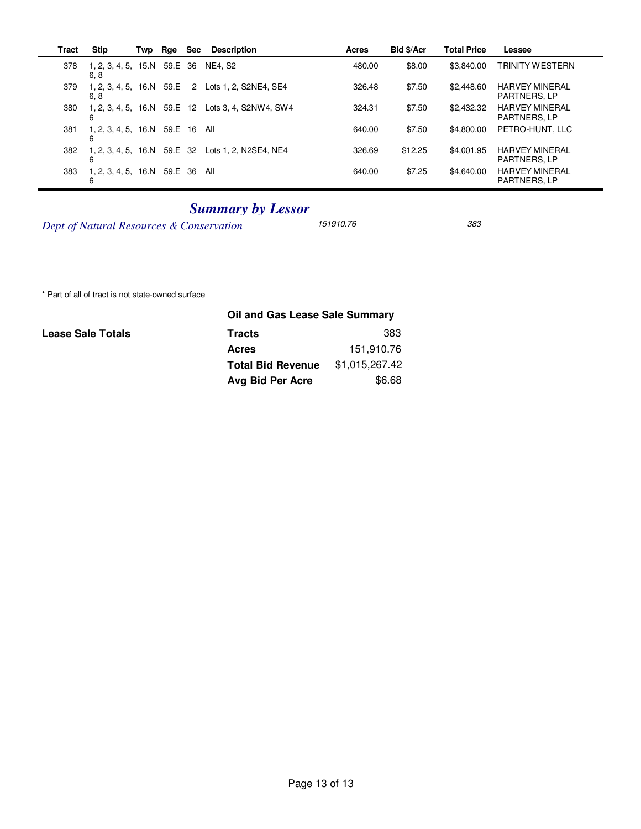| Tract | <b>Stip</b>                             | Twp | Rge     | <b>Sec</b> | <b>Description</b>                                | Acres  | <b>Bid \$/Acr</b> | <b>Total Price</b> | Lessee                                       |
|-------|-----------------------------------------|-----|---------|------------|---------------------------------------------------|--------|-------------------|--------------------|----------------------------------------------|
| 378   | 1, 2, 3, 4, 5, 15. N<br>6, 8            |     | 59.E 36 |            | NE4. S2                                           | 480.00 | \$8.00            | \$3.840.00         | <b>TRINITY WESTERN</b>                       |
| 379   | $1, 2, 3, 4, 5, 16$ . N 59. E 2<br>6, 8 |     |         |            | Lots 1, 2, S2NE4, SE4                             | 326.48 | \$7.50            | \$2,448.60         | <b>HARVEY MINERAL</b><br><b>PARTNERS, LP</b> |
| 380   | 6                                       |     |         |            | 1, 2, 3, 4, 5, 16.N 59.E 12 Lots 3, 4, S2NW4, SW4 | 324.31 | \$7.50            | \$2,432.32         | <b>HARVEY MINERAL</b><br><b>PARTNERS, LP</b> |
| 381   | 1, 2, 3, 4, 5, 16.N 59.E 16<br>6        |     |         |            | All                                               | 640.00 | \$7.50            | \$4.800.00         | PETRO-HUNT, LLC                              |
| 382   | 1, 2, 3, 4, 5, 16.N 59.E 32<br>6        |     |         |            | Lots 1, 2, N2SE4, NE4                             | 326.69 | \$12.25           | \$4,001.95         | <b>HARVEY MINERAL</b><br><b>PARTNERS, LP</b> |
| 383   | 1, 2, 3, 4, 5, 16.N 59.E 36<br>6        |     |         |            | All                                               | 640.00 | \$7.25            | \$4.640.00         | <b>HARVEY MINERAL</b><br>PARTNERS, LP        |

## *Summary by Lessor*

*Dept of Natural Resources & Conservation* 151910.76 383

\* Part of all of tract is not state-owned surface

## **Lease Sale Totals**

| Oil and Gas Lease Sale Summary |  |  |  |  |  |  |  |
|--------------------------------|--|--|--|--|--|--|--|
| 383                            |  |  |  |  |  |  |  |
| 151.910.76                     |  |  |  |  |  |  |  |
| \$1,015,267.42                 |  |  |  |  |  |  |  |
| \$6.68                         |  |  |  |  |  |  |  |
|                                |  |  |  |  |  |  |  |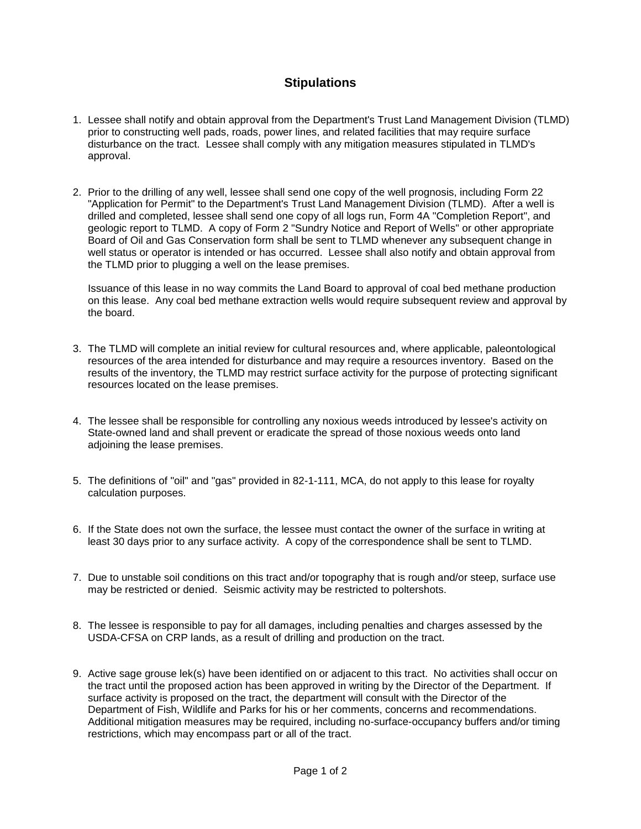## **Stipulations**

- 1. Lessee shall notify and obtain approval from the Department's Trust Land Management Division (TLMD) prior to constructing well pads, roads, power lines, and related facilities that may require surface disturbance on the tract. Lessee shall comply with any mitigation measures stipulated in TLMD's approval.
- 2. Prior to the drilling of any well, lessee shall send one copy of the well prognosis, including Form 22 "Application for Permit" to the Department's Trust Land Management Division (TLMD). After a well is drilled and completed, lessee shall send one copy of all logs run, Form 4A "Completion Report", and geologic report to TLMD. A copy of Form 2 "Sundry Notice and Report of Wells" or other appropriate Board of Oil and Gas Conservation form shall be sent to TLMD whenever any subsequent change in well status or operator is intended or has occurred. Lessee shall also notify and obtain approval from the TLMD prior to plugging a well on the lease premises.

Issuance of this lease in no way commits the Land Board to approval of coal bed methane production on this lease. Any coal bed methane extraction wells would require subsequent review and approval by the board.

- 3. The TLMD will complete an initial review for cultural resources and, where applicable, paleontological resources of the area intended for disturbance and may require a resources inventory. Based on the results of the inventory, the TLMD may restrict surface activity for the purpose of protecting significant resources located on the lease premises.
- 4. The lessee shall be responsible for controlling any noxious weeds introduced by lessee's activity on State-owned land and shall prevent or eradicate the spread of those noxious weeds onto land adjoining the lease premises.
- 5. The definitions of "oil" and "gas" provided in 82-1-111, MCA, do not apply to this lease for royalty calculation purposes.
- 6. If the State does not own the surface, the lessee must contact the owner of the surface in writing at least 30 days prior to any surface activity. A copy of the correspondence shall be sent to TLMD.
- 7. Due to unstable soil conditions on this tract and/or topography that is rough and/or steep, surface use may be restricted or denied. Seismic activity may be restricted to poltershots.
- 8. The lessee is responsible to pay for all damages, including penalties and charges assessed by the USDA-CFSA on CRP lands, as a result of drilling and production on the tract.
- 9. Active sage grouse lek(s) have been identified on or adjacent to this tract. No activities shall occur on the tract until the proposed action has been approved in writing by the Director of the Department. If surface activity is proposed on the tract, the department will consult with the Director of the Department of Fish, Wildlife and Parks for his or her comments, concerns and recommendations. Additional mitigation measures may be required, including no-surface-occupancy buffers and/or timing restrictions, which may encompass part or all of the tract.